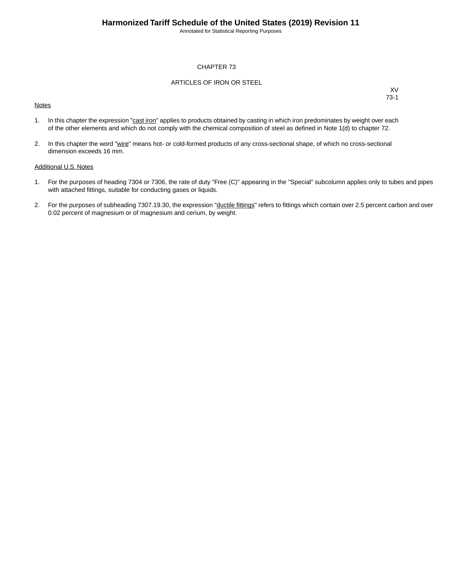Annotated for Statistical Reporting Purposes

#### CHAPTER 73

#### ARTICLES OF IRON OR STEEL

#### **Notes**

XV 73-1

- 1. In this chapter the expression "cast iron" applies to products obtained by casting in which iron predominates by weight over each of the other elements and which do not comply with the chemical composition of steel as defined in Note 1(d) to chapter 72.
- 2. In this chapter the word "wire" means hot- or cold-formed products of any cross-sectional shape, of which no cross-sectional dimension exceeds 16 mm.

#### Additional U.S. Notes

- 1. For the purposes of heading 7304 or 7306, the rate of duty "Free (C)" appearing in the "Special" subcolumn applies only to tubes and pipes with attached fittings, suitable for conducting gases or liquids.
- 2. For the purposes of subheading 7307.19.30, the expression "ductile fittings" refers to fittings which contain over 2.5 percent carbon and over 0.02 percent of magnesium or of magnesium and cerium, by weight.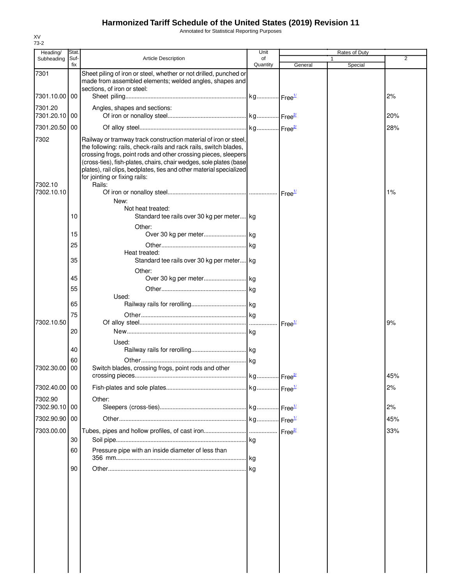Annotated for Statistical Reporting Purposes

| Heading/                 | Stat.       |                                                                                                                                                                                                                                                                                                                                                                                                | Unit           |                                  | Rates of Duty |                |
|--------------------------|-------------|------------------------------------------------------------------------------------------------------------------------------------------------------------------------------------------------------------------------------------------------------------------------------------------------------------------------------------------------------------------------------------------------|----------------|----------------------------------|---------------|----------------|
| Subheading               | Suf-<br>fix | <b>Article Description</b>                                                                                                                                                                                                                                                                                                                                                                     | of<br>Quantity | General                          | Special       | $\overline{2}$ |
| 7301                     |             | Sheet piling of iron or steel, whether or not drilled, punched or<br>made from assembled elements; welded angles, shapes and<br>sections, of iron or steel:                                                                                                                                                                                                                                    |                |                                  |               |                |
| 7301.10.00 00            |             |                                                                                                                                                                                                                                                                                                                                                                                                |                |                                  |               | 2%             |
| 7301.20<br>7301.20.10 00 |             | Angles, shapes and sections:                                                                                                                                                                                                                                                                                                                                                                   |                |                                  |               | 20%            |
| 7301.20.50 00            |             |                                                                                                                                                                                                                                                                                                                                                                                                |                |                                  |               | 28%            |
| 7302<br>7302.10          |             | Railway or tramway track construction material of iron or steel,<br>the following: rails, check-rails and rack rails, switch blades,<br>crossing frogs, point rods and other crossing pieces, sleepers<br>(cross-ties), fish-plates, chairs, chair wedges, sole plates (base<br>plates), rail clips, bedplates, ties and other material specialized<br>for jointing or fixing rails:<br>Rails: |                |                                  |               |                |
| 7302.10.10               |             | New:                                                                                                                                                                                                                                                                                                                                                                                           |                |                                  |               | 1%             |
|                          | 10          | Not heat treated:<br>Standard tee rails over 30 kg per meter kg<br>Other:                                                                                                                                                                                                                                                                                                                      |                |                                  |               |                |
|                          | 15          |                                                                                                                                                                                                                                                                                                                                                                                                |                |                                  |               |                |
|                          | 25          |                                                                                                                                                                                                                                                                                                                                                                                                |                |                                  |               |                |
|                          | 35          | Heat treated:<br>Standard tee rails over 30 kg per meter kg                                                                                                                                                                                                                                                                                                                                    |                |                                  |               |                |
|                          | 45          | Other:                                                                                                                                                                                                                                                                                                                                                                                         |                |                                  |               |                |
|                          | 55          |                                                                                                                                                                                                                                                                                                                                                                                                |                |                                  |               |                |
|                          | 65          | Used:                                                                                                                                                                                                                                                                                                                                                                                          |                |                                  |               |                |
|                          | 75          |                                                                                                                                                                                                                                                                                                                                                                                                |                |                                  |               |                |
| 7302.10.50               |             |                                                                                                                                                                                                                                                                                                                                                                                                |                | Free <sup>1/</sup>               |               | 9%             |
|                          | 20          |                                                                                                                                                                                                                                                                                                                                                                                                |                |                                  |               |                |
|                          | 40          | Used:                                                                                                                                                                                                                                                                                                                                                                                          |                |                                  |               |                |
|                          | 60          |                                                                                                                                                                                                                                                                                                                                                                                                |                |                                  |               |                |
| 7302.30.00               | 00          | Switch blades, crossing frogs, point rods and other                                                                                                                                                                                                                                                                                                                                            |                |                                  |               | 45%            |
| 7302.40.00 00            |             |                                                                                                                                                                                                                                                                                                                                                                                                |                |                                  |               | 2%             |
| 7302.90<br>7302.90.10 00 |             | Other:                                                                                                                                                                                                                                                                                                                                                                                         |                | $\cdot$ Free $\frac{1}{2}$       |               | 2%             |
| 7302.90.90 00            |             |                                                                                                                                                                                                                                                                                                                                                                                                |                | $\frac{1}{2}$ Free <sup>1/</sup> |               | 45%            |
| 7303.00.00               |             |                                                                                                                                                                                                                                                                                                                                                                                                |                |                                  |               | 33%            |
|                          | 30          |                                                                                                                                                                                                                                                                                                                                                                                                |                |                                  |               |                |
|                          | 60          | Pressure pipe with an inside diameter of less than                                                                                                                                                                                                                                                                                                                                             | l kg           |                                  |               |                |
|                          | 90          |                                                                                                                                                                                                                                                                                                                                                                                                |                |                                  |               |                |
|                          |             |                                                                                                                                                                                                                                                                                                                                                                                                |                |                                  |               |                |
|                          |             |                                                                                                                                                                                                                                                                                                                                                                                                |                |                                  |               |                |
|                          |             |                                                                                                                                                                                                                                                                                                                                                                                                |                |                                  |               |                |
|                          |             |                                                                                                                                                                                                                                                                                                                                                                                                |                |                                  |               |                |
|                          |             |                                                                                                                                                                                                                                                                                                                                                                                                |                |                                  |               |                |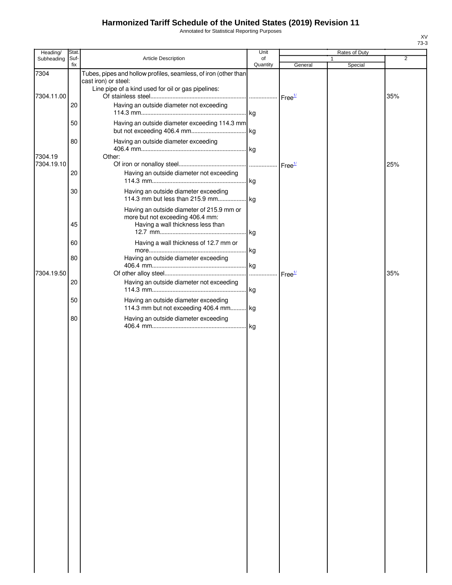Annotated for Statistical Reporting Purposes

| Heading/           | Stat.       |                                                                                                                                               | Unit           |                    | Rates of Duty |     |
|--------------------|-------------|-----------------------------------------------------------------------------------------------------------------------------------------------|----------------|--------------------|---------------|-----|
| Subheading         | Suf-<br>fix | Article Description                                                                                                                           | of<br>Quantity | General            | 1<br>Special  | 2   |
| 7304<br>7304.11.00 |             | Tubes, pipes and hollow profiles, seamless, of iron (other than<br>cast iron) or steel:<br>Line pipe of a kind used for oil or gas pipelines: |                |                    |               | 35% |
|                    | 20          | Having an outside diameter not exceeding                                                                                                      |                |                    |               |     |
|                    | 50          | Having an outside diameter exceeding 114.3 mm                                                                                                 |                |                    |               |     |
| 7304.19            | 80          | Having an outside diameter exceeding<br>Other:                                                                                                |                |                    |               |     |
| 7304.19.10         |             |                                                                                                                                               |                |                    |               | 25% |
|                    | 20          | Having an outside diameter not exceeding                                                                                                      |                |                    |               |     |
|                    | 30          | Having an outside diameter exceeding                                                                                                          |                |                    |               |     |
|                    | 45          | Having an outside diameter of 215.9 mm or<br>more but not exceeding 406.4 mm:<br>Having a wall thickness less than                            |                |                    |               |     |
|                    | 60          | Having a wall thickness of 12.7 mm or                                                                                                         |                |                    |               |     |
|                    | 80          | Having an outside diameter exceeding                                                                                                          |                |                    |               |     |
| 7304.19.50         |             |                                                                                                                                               | .              | Free <sup>1/</sup> |               | 35% |
|                    | 20          | Having an outside diameter not exceeding                                                                                                      |                |                    |               |     |
|                    | 50          | Having an outside diameter exceeding<br>114.3 mm but not exceeding 406.4 mm kg                                                                |                |                    |               |     |
|                    | 80          | Having an outside diameter exceeding                                                                                                          |                |                    |               |     |
|                    |             |                                                                                                                                               |                |                    |               |     |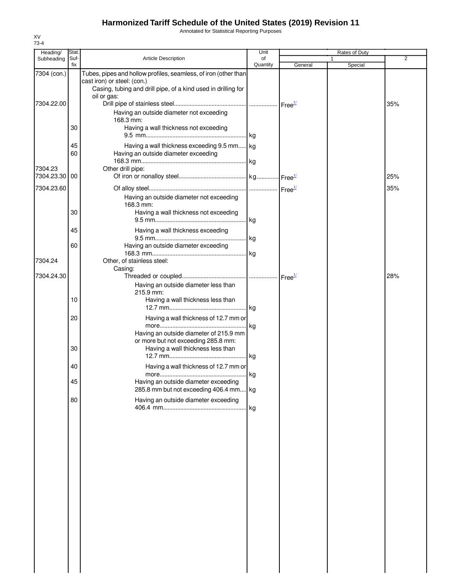Annotated for Statistical Reporting Purposes

| Heading/      | Stat.       |                                                                                                                                                                                | Unit           |         | Rates of Duty |                |
|---------------|-------------|--------------------------------------------------------------------------------------------------------------------------------------------------------------------------------|----------------|---------|---------------|----------------|
| Subheading    | Suf-<br>fix | <b>Article Description</b>                                                                                                                                                     | of<br>Quantity | General | 1<br>Special  | $\overline{2}$ |
| 7304 (con.)   |             | Tubes, pipes and hollow profiles, seamless, of iron (other than<br>cast iron) or steel: (con.)<br>Casing, tubing and drill pipe, of a kind used in drilling for<br>oil or gas: |                |         |               |                |
| 7304.22.00    | 30          | Having an outside diameter not exceeding<br>168.3 mm:<br>Having a wall thickness not exceeding                                                                                 |                |         |               | 35%            |
|               | 45          | Having a wall thickness exceeding 9.5 mm kg                                                                                                                                    |                |         |               |                |
| 7304.23       | 60          | Having an outside diameter exceeding<br>Other drill pipe:                                                                                                                      |                |         |               |                |
| 7304.23.30 00 |             |                                                                                                                                                                                |                |         |               | 25%            |
| 7304.23.60    | 30          | Having an outside diameter not exceeding<br>168.3 mm:<br>Having a wall thickness not exceeding                                                                                 |                |         |               | 35%            |
|               |             |                                                                                                                                                                                |                |         |               |                |
|               | 45          | Having a wall thickness exceeding                                                                                                                                              |                |         |               |                |
| 7304.24       | 60          | Having an outside diameter exceeding<br>Other, of stainless steel:                                                                                                             |                |         |               |                |
| 7304.24.30    |             | Casing:<br>Having an outside diameter less than                                                                                                                                |                |         |               | 28%            |
|               | 10          | 215.9 mm:<br>Having a wall thickness less than                                                                                                                                 |                |         |               |                |
|               | 20          | Having a wall thickness of 12.7 mm or                                                                                                                                          | . kg           |         |               |                |
|               | 30          | Having an outside diameter of 215.9 mm<br>or more but not exceeding 285.8 mm:<br>Having a wall thickness less than                                                             |                |         |               |                |
|               | 40          | Having a wall thickness of 12.7 mm or                                                                                                                                          |                |         |               |                |
|               | 45<br>80    | Having an outside diameter exceeding<br>285.8 mm but not exceeding 406.4 mm kg<br>Having an outside diameter exceeding                                                         |                |         |               |                |
|               |             |                                                                                                                                                                                |                |         |               |                |
|               |             |                                                                                                                                                                                |                |         |               |                |
|               |             |                                                                                                                                                                                |                |         |               |                |
|               |             |                                                                                                                                                                                |                |         |               |                |
|               |             |                                                                                                                                                                                |                |         |               |                |
|               |             |                                                                                                                                                                                |                |         |               |                |
|               |             |                                                                                                                                                                                |                |         |               |                |
|               |             |                                                                                                                                                                                |                |         |               |                |
|               |             |                                                                                                                                                                                |                |         |               |                |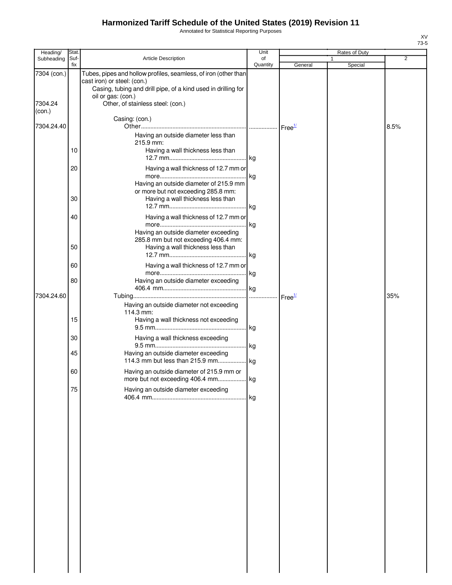Annotated for Statistical Reporting Purposes

| Heading/               | Stat.       |                                                                                                                                                                                                                            | Unit           |                    | Rates of Duty |                |
|------------------------|-------------|----------------------------------------------------------------------------------------------------------------------------------------------------------------------------------------------------------------------------|----------------|--------------------|---------------|----------------|
| Subheading             | Suf-<br>fix | Article Description                                                                                                                                                                                                        | of<br>Quantity | General            | 1<br>Special  | $\overline{2}$ |
| 7304 (con.)<br>7304.24 |             | Tubes, pipes and hollow profiles, seamless, of iron (other than<br>cast iron) or steel: (con.)<br>Casing, tubing and drill pipe, of a kind used in drilling for<br>oil or gas: (con.)<br>Other, of stainless steel: (con.) |                |                    |               |                |
| (con.)                 |             |                                                                                                                                                                                                                            |                |                    |               |                |
| 7304.24.40             |             | Casing: (con.)                                                                                                                                                                                                             |                | Free <sup>1/</sup> |               | 8.5%           |
|                        | 10          | Having an outside diameter less than<br>215.9 mm:<br>Having a wall thickness less than                                                                                                                                     |                |                    |               |                |
|                        | 20          | Having a wall thickness of 12.7 mm or                                                                                                                                                                                      |                |                    |               |                |
|                        | 30          | Having an outside diameter of 215.9 mm<br>or more but not exceeding 285.8 mm:<br>Having a wall thickness less than                                                                                                         |                |                    |               |                |
|                        | 40          | Having a wall thickness of 12.7 mm or<br>Having an outside diameter exceeding                                                                                                                                              | kg             |                    |               |                |
|                        | 50          | 285.8 mm but not exceeding 406.4 mm:<br>Having a wall thickness less than                                                                                                                                                  |                |                    |               |                |
|                        | 60          | Having a wall thickness of 12.7 mm or                                                                                                                                                                                      | . kg           |                    |               |                |
|                        | 80          | Having an outside diameter exceeding                                                                                                                                                                                       |                |                    |               |                |
| 7304.24.60             |             | Having an outside diameter not exceeding<br>114.3 mm:                                                                                                                                                                      | .              | Free <sup>1/</sup> |               | 35%            |
|                        | 15          | Having a wall thickness not exceeding                                                                                                                                                                                      |                |                    |               |                |
|                        | 30<br>45    | Having a wall thickness exceeding<br>Having an outside diameter exceeding                                                                                                                                                  |                |                    |               |                |
|                        | 60          | Having an outside diameter of 215.9 mm or                                                                                                                                                                                  |                |                    |               |                |
|                        | 75          | more but not exceeding 406.4 mm kg<br>Having an outside diameter exceeding                                                                                                                                                 |                |                    |               |                |
|                        |             |                                                                                                                                                                                                                            |                |                    |               |                |
|                        |             |                                                                                                                                                                                                                            |                |                    |               |                |
|                        |             |                                                                                                                                                                                                                            |                |                    |               |                |
|                        |             |                                                                                                                                                                                                                            |                |                    |               |                |
|                        |             |                                                                                                                                                                                                                            |                |                    |               |                |
|                        |             |                                                                                                                                                                                                                            |                |                    |               |                |
|                        |             |                                                                                                                                                                                                                            |                |                    |               |                |
|                        |             |                                                                                                                                                                                                                            |                |                    |               |                |
|                        |             |                                                                                                                                                                                                                            |                |                    |               |                |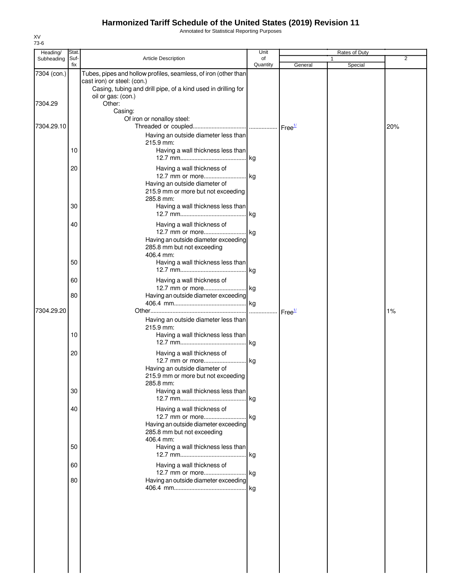Annotated for Statistical Reporting Purposes

| Heading/    | Stat.       |                                                                                                                                                                                       | Unit           |                    | Rates of Duty |                |
|-------------|-------------|---------------------------------------------------------------------------------------------------------------------------------------------------------------------------------------|----------------|--------------------|---------------|----------------|
| Subheading  | Suf-<br>fix | <b>Article Description</b>                                                                                                                                                            | of<br>Quantity | General            | Special       | $\overline{2}$ |
| 7304 (con.) |             | Tubes, pipes and hollow profiles, seamless, of iron (other than<br>cast iron) or steel: (con.)<br>Casing, tubing and drill pipe, of a kind used in drilling for<br>oil or gas: (con.) |                |                    |               |                |
| 7304.29     |             | Other:<br>Casing:                                                                                                                                                                     |                |                    |               |                |
| 7304.29.10  |             | Of iron or nonalloy steel:<br>Having an outside diameter less than                                                                                                                    |                |                    |               | 20%            |
|             | 10          | 215.9 mm:<br>Having a wall thickness less than                                                                                                                                        |                |                    |               |                |
|             | 20          | Having a wall thickness of                                                                                                                                                            |                |                    |               |                |
|             |             | Having an outside diameter of<br>215.9 mm or more but not exceeding<br>285.8 mm:                                                                                                      |                |                    |               |                |
|             | 30          | Having a wall thickness less than                                                                                                                                                     |                |                    |               |                |
|             | 40          | Having a wall thickness of<br>12.7 mm or more kg<br>Having an outside diameter exceeding<br>285.8 mm but not exceeding<br>406.4 mm:                                                   |                |                    |               |                |
|             | 50          | Having a wall thickness less than                                                                                                                                                     |                |                    |               |                |
|             | 60          | Having a wall thickness of<br>12.7 mm or more kg                                                                                                                                      |                |                    |               |                |
| 7304.29.20  | 80          | Having an outside diameter exceeding                                                                                                                                                  |                | Free <sup>1/</sup> |               | 1%             |
|             | 10          | Having an outside diameter less than<br>215.9 mm:<br>Having a wall thickness less than                                                                                                |                |                    |               |                |
|             | 20          | Having a wall thickness of<br>12.7 mm or more kg<br>Having an outside diameter of<br>215.9 mm or more but not exceeding<br>285.8 mm:                                                  |                |                    |               |                |
|             | 30          | Having a wall thickness less than                                                                                                                                                     | .lkg           |                    |               |                |
|             | 40          | Having a wall thickness of<br>12.7 mm or more kg<br>Having an outside diameter exceeding<br>285.8 mm but not exceeding<br>406.4 mm:                                                   |                |                    |               |                |
|             | 50          | Having a wall thickness less than                                                                                                                                                     |                |                    |               |                |
|             | 60          | Having a wall thickness of                                                                                                                                                            |                |                    |               |                |
|             | 80          | Having an outside diameter exceeding                                                                                                                                                  |                |                    |               |                |
|             |             |                                                                                                                                                                                       |                |                    |               |                |
|             |             |                                                                                                                                                                                       |                |                    |               |                |
|             |             |                                                                                                                                                                                       |                |                    |               |                |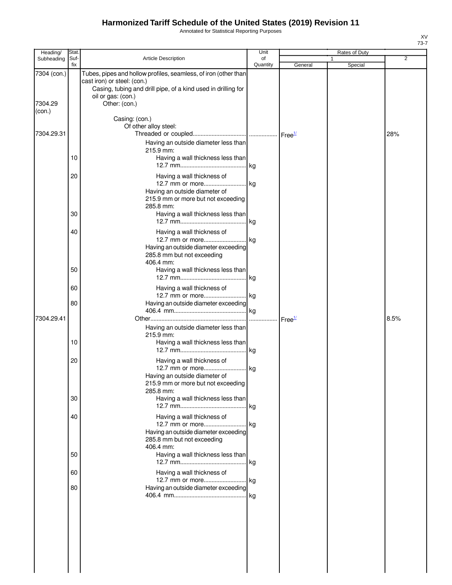Annotated for Statistical Reporting Purposes

| Heading/               | Stat.       |                                                                                                                                                                                                        | Unit           |                    | Rates of Duty |      |
|------------------------|-------------|--------------------------------------------------------------------------------------------------------------------------------------------------------------------------------------------------------|----------------|--------------------|---------------|------|
| Subheading             | Suf-<br>fix | Article Description                                                                                                                                                                                    | of<br>Quantity | General            | 1<br>Special  | 2    |
| 7304 (con.)<br>7304.29 |             | Tubes, pipes and hollow profiles, seamless, of iron (other than<br>cast iron) or steel: (con.)<br>Casing, tubing and drill pipe, of a kind used in drilling for<br>oil or gas: (con.)<br>Other: (con.) |                |                    |               |      |
| (con.)                 |             | Casing: (con.)                                                                                                                                                                                         |                |                    |               |      |
| 7304.29.31             |             | Of other alloy steel:                                                                                                                                                                                  |                |                    |               | 28%  |
|                        | 10          | Having an outside diameter less than<br>215.9 mm:<br>Having a wall thickness less than                                                                                                                 |                |                    |               |      |
|                        | 20          | Having a wall thickness of<br>Having an outside diameter of<br>215.9 mm or more but not exceeding<br>285.8 mm:                                                                                         |                |                    |               |      |
|                        | 30          | Having a wall thickness less than                                                                                                                                                                      |                |                    |               |      |
|                        | 40          | Having a wall thickness of<br>Having an outside diameter exceeding<br>285.8 mm but not exceeding<br>406.4 mm:                                                                                          |                |                    |               |      |
|                        | 50          | Having a wall thickness less than                                                                                                                                                                      |                |                    |               |      |
|                        | 60          | Having a wall thickness of<br>12.7 mm or more kg                                                                                                                                                       |                |                    |               |      |
|                        | 80          | Having an outside diameter exceeding                                                                                                                                                                   |                |                    |               |      |
| 7304.29.41             | 10          | Having an outside diameter less than<br>215.9 mm:<br>Having a wall thickness less than                                                                                                                 |                | Free <sup>1/</sup> |               | 8.5% |
|                        | 20          | Having a wall thickness of<br>12.7 mm or more kg<br>Having an outside diameter of<br>215.9 mm or more but not exceeding<br>285.8 mm:                                                                   |                |                    |               |      |
|                        | 30          | Having a wall thickness less than                                                                                                                                                                      |                |                    |               |      |
|                        | 40          | Having a wall thickness of<br>Having an outside diameter exceeding<br>285.8 mm but not exceeding<br>406.4 mm:                                                                                          |                |                    |               |      |
|                        | 50          | Having a wall thickness less than                                                                                                                                                                      |                |                    |               |      |
|                        | 60          | Having a wall thickness of                                                                                                                                                                             |                |                    |               |      |
|                        | 80          | Having an outside diameter exceeding                                                                                                                                                                   |                |                    |               |      |
|                        |             |                                                                                                                                                                                                        |                |                    |               |      |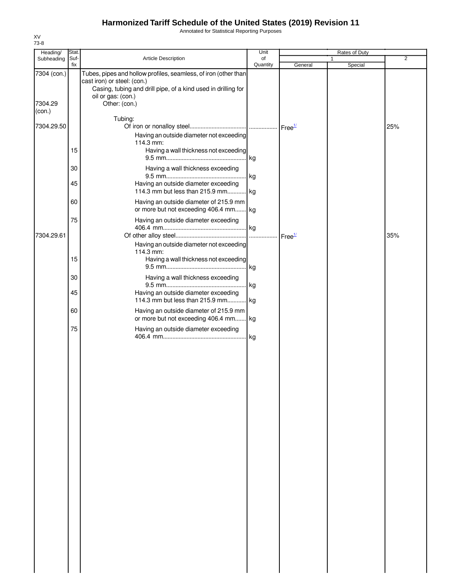Annotated for Statistical Reporting Purposes

| Heading/          | Stat.       |                                                                                                                                                                                       | Unit           |                    | Rates of Duty           |                |
|-------------------|-------------|---------------------------------------------------------------------------------------------------------------------------------------------------------------------------------------|----------------|--------------------|-------------------------|----------------|
| Subheading        | Suf-<br>fix | Article Description                                                                                                                                                                   | of<br>Quantity | General            | $\mathbf{1}$<br>Special | $\overline{2}$ |
| 7304 (con.)       |             | Tubes, pipes and hollow profiles, seamless, of iron (other than<br>cast iron) or steel: (con.)<br>Casing, tubing and drill pipe, of a kind used in drilling for<br>oil or gas: (con.) |                |                    |                         |                |
| 7304.29<br>(con.) |             | Other: (con.)                                                                                                                                                                         |                |                    |                         |                |
| 7304.29.50        |             | Tubing:<br>Having an outside diameter not exceeding<br>114.3 mm:                                                                                                                      |                |                    |                         | 25%            |
|                   | 15          | Having a wall thickness not exceeding                                                                                                                                                 | kg             |                    |                         |                |
|                   | 30          | Having a wall thickness exceeding                                                                                                                                                     | kg             |                    |                         |                |
|                   | 45          | Having an outside diameter exceeding<br>114.3 mm but less than 215.9 mm                                                                                                               | kg             |                    |                         |                |
|                   | 60          | Having an outside diameter of 215.9 mm<br>or more but not exceeding 406.4 mm kg                                                                                                       |                |                    |                         |                |
| 7304.29.61        | 75          | Having an outside diameter exceeding                                                                                                                                                  | kg             | Free <sup>1/</sup> |                         | 35%            |
|                   | 15          | Having an outside diameter not exceeding<br>114.3 mm:<br>Having a wall thickness not exceeding                                                                                        | kg             |                    |                         |                |
|                   | 30          | Having a wall thickness exceeding                                                                                                                                                     | kg             |                    |                         |                |
|                   | 45          | Having an outside diameter exceeding<br>114.3 mm but less than 215.9 mm kg                                                                                                            |                |                    |                         |                |
|                   | 60          | Having an outside diameter of 215.9 mm<br>or more but not exceeding 406.4 mm                                                                                                          | kg.            |                    |                         |                |
|                   | 75          | Having an outside diameter exceeding                                                                                                                                                  | kg             |                    |                         |                |
|                   |             |                                                                                                                                                                                       |                |                    |                         |                |
|                   |             |                                                                                                                                                                                       |                |                    |                         |                |
|                   |             |                                                                                                                                                                                       |                |                    |                         |                |
|                   |             |                                                                                                                                                                                       |                |                    |                         |                |
|                   |             |                                                                                                                                                                                       |                |                    |                         |                |
|                   |             |                                                                                                                                                                                       |                |                    |                         |                |
|                   |             |                                                                                                                                                                                       |                |                    |                         |                |
|                   |             |                                                                                                                                                                                       |                |                    |                         |                |
|                   |             |                                                                                                                                                                                       |                |                    |                         |                |
|                   |             |                                                                                                                                                                                       |                |                    |                         |                |
|                   |             |                                                                                                                                                                                       |                |                    |                         |                |
|                   |             |                                                                                                                                                                                       |                |                    |                         |                |
|                   |             |                                                                                                                                                                                       |                |                    |                         |                |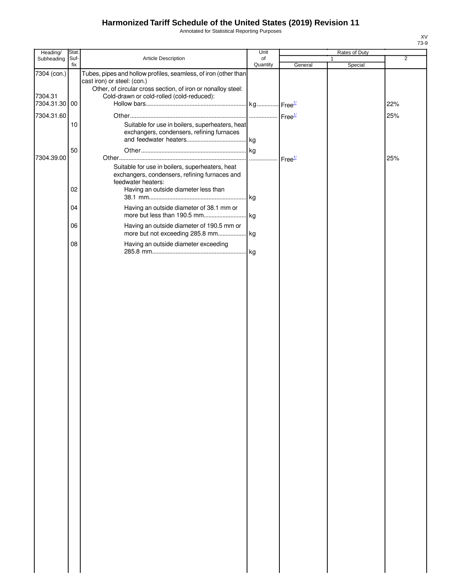Annotated for Statistical Reporting Purposes

| Heading/               | Stat. |                                                                                                                                                                                                             | Unit     |         | Rates of Duty |                |
|------------------------|-------|-------------------------------------------------------------------------------------------------------------------------------------------------------------------------------------------------------------|----------|---------|---------------|----------------|
| Subheading             | Suf-  | Article Description                                                                                                                                                                                         | of       |         | 1             | $\overline{2}$ |
| 7304 (con.)<br>7304.31 | fix   | Tubes, pipes and hollow profiles, seamless, of iron (other than<br>cast iron) or steel: (con.)<br>Other, of circular cross section, of iron or nonalloy steel:<br>Cold-drawn or cold-rolled (cold-reduced): | Quantity | General | Special       |                |
| 7304.31.30 00          |       |                                                                                                                                                                                                             |          |         |               | 22%            |
| 7304.31.60             |       |                                                                                                                                                                                                             |          |         |               | 25%            |
|                        | 10    | Suitable for use in boilers, superheaters, heat<br>exchangers, condensers, refining furnaces                                                                                                                |          |         |               |                |
| 7304.39.00             | 50    |                                                                                                                                                                                                             |          |         |               | 25%            |
|                        | 02    | Suitable for use in boilers, superheaters, heat<br>exchangers, condensers, refining furnaces and<br>feedwater heaters:                                                                                      |          |         |               |                |
|                        |       | Having an outside diameter less than                                                                                                                                                                        |          |         |               |                |
|                        | 04    | Having an outside diameter of 38.1 mm or                                                                                                                                                                    |          |         |               |                |
|                        | 06    | Having an outside diameter of 190.5 mm or                                                                                                                                                                   |          |         |               |                |
|                        | 08    | Having an outside diameter exceeding                                                                                                                                                                        |          |         |               |                |
|                        |       |                                                                                                                                                                                                             |          |         |               |                |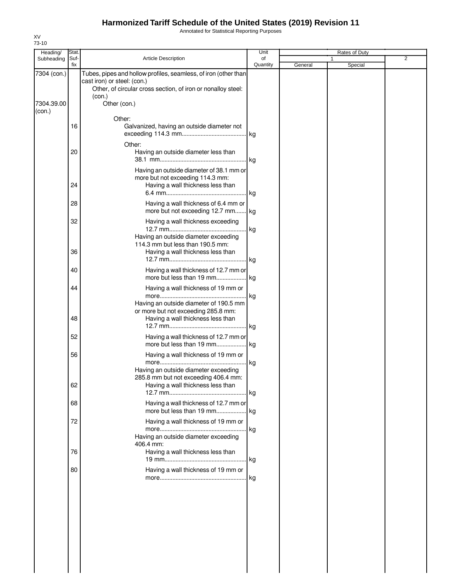Annotated for Statistical Reporting Purposes

| Heading/             | Stat.       |                                                                                                                                                                          | Unit           |         | Rates of Duty |   |
|----------------------|-------------|--------------------------------------------------------------------------------------------------------------------------------------------------------------------------|----------------|---------|---------------|---|
| Subheading           | Suf-<br>fix | <b>Article Description</b>                                                                                                                                               | of<br>Quantity | General | 1<br>Special  | 2 |
| 7304 (con.)          |             | Tubes, pipes and hollow profiles, seamless, of iron (other than<br>cast iron) or steel: (con.)<br>Other, of circular cross section, of iron or nonalloy steel:<br>(con.) |                |         |               |   |
| 7304.39.00<br>(con.) |             | Other (con.)                                                                                                                                                             |                |         |               |   |
|                      | 16          | Other:<br>Galvanized, having an outside diameter not                                                                                                                     |                |         |               |   |
|                      | 20          | Other:<br>Having an outside diameter less than                                                                                                                           |                |         |               |   |
|                      | 24          | Having an outside diameter of 38.1 mm or<br>more but not exceeding 114.3 mm:<br>Having a wall thickness less than                                                        |                |         |               |   |
|                      | 28          | Having a wall thickness of 6.4 mm or<br>more but not exceeding 12.7 mm kg                                                                                                |                |         |               |   |
|                      | 32          | Having a wall thickness exceeding                                                                                                                                        | kg             |         |               |   |
|                      | 36          | Having an outside diameter exceeding<br>114.3 mm but less than 190.5 mm:<br>Having a wall thickness less than                                                            |                |         |               |   |
|                      | 40          | Having a wall thickness of 12.7 mm or<br>more but less than 19 mm kg                                                                                                     |                |         |               |   |
|                      | 44          | Having a wall thickness of 19 mm or                                                                                                                                      | kg             |         |               |   |
|                      | 48          | Having an outside diameter of 190.5 mm<br>or more but not exceeding 285.8 mm:<br>Having a wall thickness less than                                                       |                |         |               |   |
|                      | 52          | Having a wall thickness of 12.7 mm or                                                                                                                                    |                |         |               |   |
|                      | 56          | Having a wall thickness of 19 mm or                                                                                                                                      | kg             |         |               |   |
|                      | 62          | Having an outside diameter exceeding<br>285.8 mm but not exceeding 406.4 mm:<br>Having a wall thickness less than                                                        |                |         |               |   |
|                      | 68          | Having a wall thickness of 12.7 mm or                                                                                                                                    |                |         |               |   |
|                      | 72          | Having a wall thickness of 19 mm or<br>Having an outside diameter exceeding<br>406.4 mm:                                                                                 | . kg           |         |               |   |
|                      | 76          | Having a wall thickness less than                                                                                                                                        |                |         |               |   |
|                      | 80          | Having a wall thickness of 19 mm or                                                                                                                                      |                |         |               |   |
|                      |             |                                                                                                                                                                          |                |         |               |   |
|                      |             |                                                                                                                                                                          |                |         |               |   |
|                      |             |                                                                                                                                                                          |                |         |               |   |
|                      |             |                                                                                                                                                                          |                |         |               |   |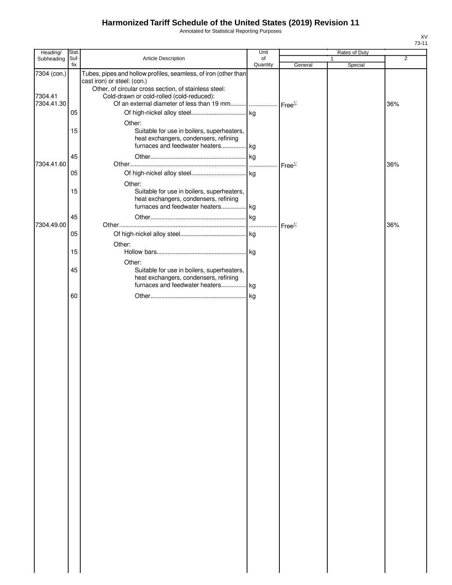Annotated for Statistical Reporting Purposes

| Heading/                             | Stat.       |                                                                                                                                                                                                      | Unit           |                    | Rates of Duty           |                |
|--------------------------------------|-------------|------------------------------------------------------------------------------------------------------------------------------------------------------------------------------------------------------|----------------|--------------------|-------------------------|----------------|
| Subheading                           | Suf-<br>fix | Article Description                                                                                                                                                                                  | of<br>Quantity | General            | $\mathbf{1}$<br>Special | $\overline{2}$ |
| 7304 (con.)<br>7304.41<br>7304.41.30 | 05          | Tubes, pipes and hollow profiles, seamless, of iron (other than<br>cast iron) or steel: (con.)<br>Other, of circular cross section, of stainless steel:<br>Cold-drawn or cold-rolled (cold-reduced): |                |                    |                         | 36%            |
|                                      | 15<br>45    | Other:<br>Suitable for use in boilers, superheaters,<br>heat exchangers, condensers, refining<br>furnaces and feedwater heaters kg                                                                   |                |                    |                         |                |
| 7304.41.60                           | 05          | Other:                                                                                                                                                                                               |                | Free $\frac{1}{2}$ |                         | 36%            |
|                                      | 15          | Suitable for use in boilers, superheaters,<br>heat exchangers, condensers, refining<br>furnaces and feedwater heaters kg                                                                             |                |                    |                         |                |
| 7304.49.00                           | 45<br>05    |                                                                                                                                                                                                      |                | Free <sup>1/</sup> |                         | 36%            |
|                                      | 15          | Other:                                                                                                                                                                                               |                |                    |                         |                |
|                                      | 45          | Other:<br>Suitable for use in boilers, superheaters,<br>heat exchangers, condensers, refining<br>furnaces and feedwater heaters kg                                                                   |                |                    |                         |                |
|                                      | 60          |                                                                                                                                                                                                      |                |                    |                         |                |
|                                      |             |                                                                                                                                                                                                      |                |                    |                         |                |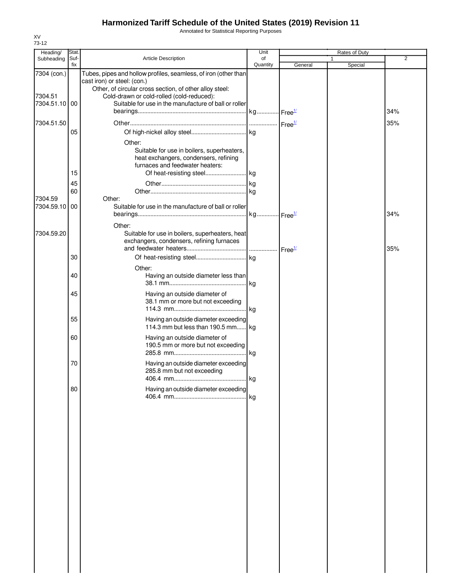Annotated for Statistical Reporting Purposes

| Heading/                             | Stat.       |                                                                                                                                                                                                                                                                 | Unit           |         | Rates of Duty |                |
|--------------------------------------|-------------|-----------------------------------------------------------------------------------------------------------------------------------------------------------------------------------------------------------------------------------------------------------------|----------------|---------|---------------|----------------|
| Subheading                           | Suf-<br>fix | Article Description                                                                                                                                                                                                                                             | of<br>Quantity | General | 1<br>Special  | $\overline{2}$ |
| 7304 (con.)<br>7304.51<br>7304.51.10 | 00          | Tubes, pipes and hollow profiles, seamless, of iron (other than<br>cast iron) or steel: (con.)<br>Other, of circular cross section, of other alloy steel:<br>Cold-drawn or cold-rolled (cold-reduced):<br>Suitable for use in the manufacture of ball or roller |                |         |               | 34%            |
|                                      |             |                                                                                                                                                                                                                                                                 |                |         |               |                |
| 7304.51.50                           | 05          | Other:<br>Suitable for use in boilers, superheaters,<br>heat exchangers, condensers, refining<br>furnaces and feedwater heaters:                                                                                                                                |                |         |               | 35%            |
|                                      | 15          |                                                                                                                                                                                                                                                                 |                |         |               |                |
|                                      | 45          |                                                                                                                                                                                                                                                                 |                |         |               |                |
|                                      | 60          |                                                                                                                                                                                                                                                                 |                |         |               |                |
| 7304.59<br>7304.59.10                | 00          | Other:<br>Suitable for use in the manufacture of ball or roller                                                                                                                                                                                                 |                |         |               | 34%            |
| 7304.59.20                           |             | Other:<br>Suitable for use in boilers, superheaters, heat<br>exchangers, condensers, refining furnaces                                                                                                                                                          |                |         |               | 35%            |
|                                      | 30          |                                                                                                                                                                                                                                                                 |                |         |               |                |
|                                      | 40          | Other:<br>Having an outside diameter less than                                                                                                                                                                                                                  | .  kg          |         |               |                |
|                                      | 45          | Having an outside diameter of<br>38.1 mm or more but not exceeding                                                                                                                                                                                              |                |         |               |                |
|                                      | 55          | Having an outside diameter exceeding<br>114.3 mm but less than 190.5 mm kg                                                                                                                                                                                      |                |         |               |                |
|                                      | 60          | Having an outside diameter of<br>190.5 mm or more but not exceeding                                                                                                                                                                                             |                |         |               |                |
|                                      | 70          | Having an outside diameter exceeding<br>285.8 mm but not exceeding                                                                                                                                                                                              | kg             |         |               |                |
|                                      | 80          | Having an outside diameter exceeding                                                                                                                                                                                                                            |                |         |               |                |
|                                      |             |                                                                                                                                                                                                                                                                 |                |         |               |                |
|                                      |             |                                                                                                                                                                                                                                                                 |                |         |               |                |
|                                      |             |                                                                                                                                                                                                                                                                 |                |         |               |                |
|                                      |             |                                                                                                                                                                                                                                                                 |                |         |               |                |
|                                      |             |                                                                                                                                                                                                                                                                 |                |         |               |                |
|                                      |             |                                                                                                                                                                                                                                                                 |                |         |               |                |
|                                      |             |                                                                                                                                                                                                                                                                 |                |         |               |                |
|                                      |             |                                                                                                                                                                                                                                                                 |                |         |               |                |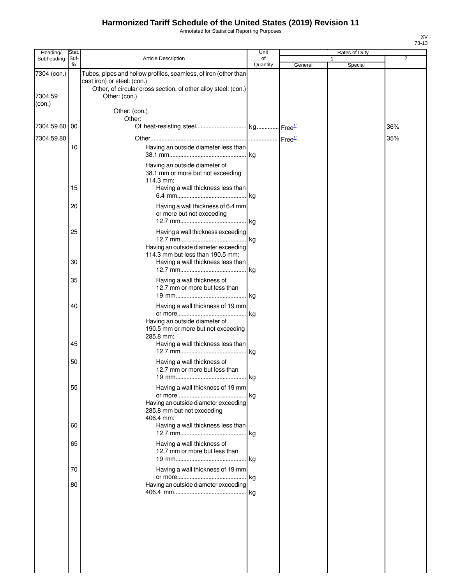Annotated for Statistical Reporting Purposes

| Heading/               | Stat.       |                                                                                                                                                                                   | Unit           |         | Rates of Duty           |     |
|------------------------|-------------|-----------------------------------------------------------------------------------------------------------------------------------------------------------------------------------|----------------|---------|-------------------------|-----|
| Subheading             | Suf-<br>fix | Article Description                                                                                                                                                               | of<br>Quantity | General | $\mathbf{1}$<br>Special | 2   |
| 7304 (con.)<br>7304.59 |             | Tubes, pipes and hollow profiles, seamless, of iron (other than<br>cast iron) or steel: (con.)<br>Other, of circular cross section, of other alloy steel: (con.)<br>Other: (con.) |                |         |                         |     |
| (con.)                 |             | Other: (con.)<br>Other:                                                                                                                                                           |                |         |                         |     |
| 7304.59.60 00          |             |                                                                                                                                                                                   |                |         |                         | 36% |
| 7304.59.80             |             |                                                                                                                                                                                   |                |         |                         | 35% |
|                        | 10          | Having an outside diameter less than                                                                                                                                              | kg             |         |                         |     |
|                        |             | Having an outside diameter of<br>38.1 mm or more but not exceeding<br>114.3 mm:                                                                                                   |                |         |                         |     |
|                        | 15          | Having a wall thickness less than                                                                                                                                                 |                |         |                         |     |
|                        | 20          | Having a wall thickness of 6.4 mm<br>or more but not exceeding                                                                                                                    | . kg           |         |                         |     |
|                        | 25          | Having a wall thickness exceeding<br>Having an outside diameter exceeding                                                                                                         | .  kg          |         |                         |     |
|                        | 30          | 114.3 mm but less than 190.5 mm:<br>Having a wall thickness less than                                                                                                             | kg             |         |                         |     |
|                        | 35          | Having a wall thickness of<br>12.7 mm or more but less than                                                                                                                       |                |         |                         |     |
|                        | 40          | Having a wall thickness of 19 mm                                                                                                                                                  |                |         |                         |     |
|                        |             | Having an outside diameter of<br>190.5 mm or more but not exceeding<br>285.8 mm:                                                                                                  | .lkg           |         |                         |     |
|                        | 45          | Having a wall thickness less than                                                                                                                                                 | kg             |         |                         |     |
|                        | 50          | Having a wall thickness of<br>12.7 mm or more but less than<br>19 mm                                                                                                              | kg             |         |                         |     |
|                        | 55          | Having a wall thickness of 19 mm                                                                                                                                                  | . kg           |         |                         |     |
|                        |             | Having an outside diameter exceeding<br>285.8 mm but not exceeding<br>406.4 mm:                                                                                                   |                |         |                         |     |
|                        | 60          | Having a wall thickness less than                                                                                                                                                 | .lkg           |         |                         |     |
|                        | 65          | Having a wall thickness of<br>12.7 mm or more but less than                                                                                                                       |                |         |                         |     |
|                        | 70          | Having a wall thickness of 19 mm                                                                                                                                                  |                |         |                         |     |
|                        | 80          | Having an outside diameter exceeding                                                                                                                                              | . kg           |         |                         |     |
|                        |             |                                                                                                                                                                                   |                |         |                         |     |
|                        |             |                                                                                                                                                                                   |                |         |                         |     |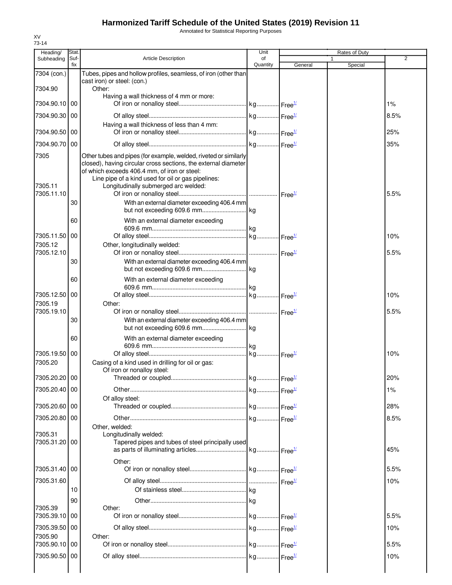Annotated for Statistical Reporting Purposes

| Heading/                      | Stat.       |                                                                                                                                                                                                                                                                                                                                  | Unit           |         | Rates of Duty |      |
|-------------------------------|-------------|----------------------------------------------------------------------------------------------------------------------------------------------------------------------------------------------------------------------------------------------------------------------------------------------------------------------------------|----------------|---------|---------------|------|
| Subheading                    | Suf-<br>fix | <b>Article Description</b>                                                                                                                                                                                                                                                                                                       | of<br>Quantity | General | Special       | 2    |
| 7304 (con.)                   |             | Tubes, pipes and hollow profiles, seamless, of iron (other than<br>cast iron) or steel: (con.)                                                                                                                                                                                                                                   |                |         |               |      |
| 7304.90                       |             | Other:<br>Having a wall thickness of 4 mm or more:                                                                                                                                                                                                                                                                               |                |         |               |      |
| 7304.90.10 00                 |             |                                                                                                                                                                                                                                                                                                                                  |                |         |               | 1%   |
| 7304.90.30 00                 |             |                                                                                                                                                                                                                                                                                                                                  |                |         |               | 8.5% |
| 7304.90.50 00                 |             | Having a wall thickness of less than 4 mm:                                                                                                                                                                                                                                                                                       |                |         |               | 25%  |
| 7304.90.70 00                 |             |                                                                                                                                                                                                                                                                                                                                  |                |         |               | 35%  |
| 7305<br>7305.11<br>7305.11.10 | 30          | Other tubes and pipes (for example, welded, riveted or similarly<br>closed), having circular cross sections, the external diameter<br>of which exceeds 406.4 mm, of iron or steel:<br>Line pipe of a kind used for oil or gas pipelines:<br>Longitudinally submerged arc welded:<br>With an external diameter exceeding 406.4 mm |                |         |               | 5.5% |
|                               | 60          | With an external diameter exceeding                                                                                                                                                                                                                                                                                              |                |         |               |      |
| 7305.11.50<br>7305.12         | 00          | Other, longitudinally welded:                                                                                                                                                                                                                                                                                                    |                |         |               | 10%  |
| 7305.12.10                    | 30          | With an external diameter exceeding 406.4 mm                                                                                                                                                                                                                                                                                     |                |         |               | 5.5% |
|                               | 60          | With an external diameter exceeding                                                                                                                                                                                                                                                                                              |                |         |               |      |
| 7305.12.50 00<br>7305.19      |             | Other:                                                                                                                                                                                                                                                                                                                           |                |         |               | 10%  |
| 7305.19.10                    | 30          | With an external diameter exceeding 406.4 mm                                                                                                                                                                                                                                                                                     |                |         |               | 5.5% |
|                               |             |                                                                                                                                                                                                                                                                                                                                  |                |         |               |      |
|                               | 60          | With an external diameter exceeding                                                                                                                                                                                                                                                                                              |                |         |               |      |
| 7305.19.50 00<br>7305.20      |             | Casing of a kind used in drilling for oil or gas:<br>Of iron or nonalloy steel:                                                                                                                                                                                                                                                  |                |         |               | 10%  |
| 7305.20.20 00                 |             |                                                                                                                                                                                                                                                                                                                                  |                |         |               | 20%  |
| 7305.20.40 00                 |             |                                                                                                                                                                                                                                                                                                                                  |                |         |               | 1%   |
| 7305.20.60   00               |             | Of alloy steel:                                                                                                                                                                                                                                                                                                                  |                |         |               | 28%  |
| 7305.20.80 00                 |             |                                                                                                                                                                                                                                                                                                                                  |                |         |               | 8.5% |
| 7305.31<br>7305.31.20 00      |             | Other, welded:<br>Longitudinally welded:<br>Tapered pipes and tubes of steel principally used                                                                                                                                                                                                                                    |                |         |               | 45%  |
| 7305.31.40 00                 |             | Other:                                                                                                                                                                                                                                                                                                                           |                |         |               | 5.5% |
| 7305.31.60                    |             |                                                                                                                                                                                                                                                                                                                                  |                |         |               | 10%  |
|                               | 10          |                                                                                                                                                                                                                                                                                                                                  |                |         |               |      |
| 7305.39                       | 90          | Other:                                                                                                                                                                                                                                                                                                                           |                |         |               |      |
| 7305.39.10                    | 00          |                                                                                                                                                                                                                                                                                                                                  |                |         |               | 5.5% |
| 7305.39.50 00<br>7305.90      |             | Other:                                                                                                                                                                                                                                                                                                                           |                |         |               | 10%  |
| 7305.90.10                    | 00          |                                                                                                                                                                                                                                                                                                                                  |                |         |               | 5.5% |
| 7305.90.50 00                 |             |                                                                                                                                                                                                                                                                                                                                  |                |         |               | 10%  |
|                               |             |                                                                                                                                                                                                                                                                                                                                  |                |         |               |      |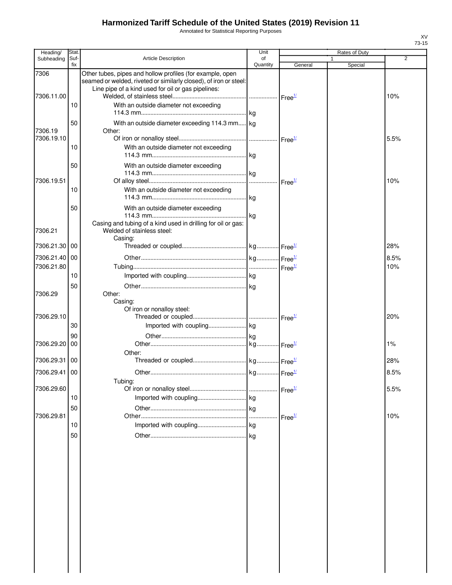Annotated for Statistical Reporting Purposes

| Heading/           | Stat.       |                                                                                                                                                                                      | Unit           |                               | Rates of Duty |                |
|--------------------|-------------|--------------------------------------------------------------------------------------------------------------------------------------------------------------------------------------|----------------|-------------------------------|---------------|----------------|
| Subheading         | Suf-<br>fix | <b>Article Description</b>                                                                                                                                                           | of<br>Quantity | General                       | Special       | $\overline{2}$ |
| 7306<br>7306.11.00 |             | Other tubes, pipes and hollow profiles (for example, open<br>seamed or welded, riveted or similarly closed), of iron or steel:<br>Line pipe of a kind used for oil or gas pipelines: |                |                               |               | 10%            |
|                    | 10          | With an outside diameter not exceeding                                                                                                                                               |                |                               |               |                |
| 7306.19            | 50          | With an outside diameter exceeding 114.3 mm kg<br>Other:                                                                                                                             |                |                               |               |                |
| 7306.19.10         | 10          | With an outside diameter not exceeding                                                                                                                                               |                |                               |               | 5.5%           |
|                    | 50          | With an outside diameter exceeding                                                                                                                                                   |                |                               |               |                |
| 7306.19.51         | 10          | With an outside diameter not exceeding                                                                                                                                               |                |                               |               | 10%            |
| 7306.21            | 50          | With an outside diameter exceeding<br>Casing and tubing of a kind used in drilling for oil or gas:<br>Welded of stainless steel:                                                     |                |                               |               |                |
| 7306.21.30         | 00          | Casing:                                                                                                                                                                              |                |                               |               | 28%            |
| 7306.21.40         | 00          |                                                                                                                                                                                      |                |                               |               | 8.5%           |
| 7306.21.80         |             |                                                                                                                                                                                      |                |                               |               | 10%            |
|                    | 10          |                                                                                                                                                                                      |                |                               |               |                |
| 7306.29            | 50          | Other:<br>Casing:<br>Of iron or nonalloy steel:                                                                                                                                      |                |                               |               |                |
| 7306.29.10         | 30          |                                                                                                                                                                                      |                |                               |               | 20%            |
| 7306.29.20         | 90<br>00    |                                                                                                                                                                                      |                |                               |               | 1%             |
| 7306.29.31 00      |             | Other:                                                                                                                                                                               |                |                               |               | 28%            |
| 7306.29.41 00      |             |                                                                                                                                                                                      |                |                               |               | 8.5%           |
| 7306.29.60         |             | Tubing:                                                                                                                                                                              |                | $\mathsf{Free}^{\mathcal{U}}$ |               | 5.5%           |
|                    | 10          |                                                                                                                                                                                      |                |                               |               |                |
| 7306.29.81         | 50          |                                                                                                                                                                                      |                | Free <sup>1/</sup>            |               | 10%            |
|                    | 10          |                                                                                                                                                                                      |                |                               |               |                |
|                    | 50          |                                                                                                                                                                                      | kg             |                               |               |                |
|                    |             |                                                                                                                                                                                      |                |                               |               |                |
|                    |             |                                                                                                                                                                                      |                |                               |               |                |
|                    |             |                                                                                                                                                                                      |                |                               |               |                |
|                    |             |                                                                                                                                                                                      |                |                               |               |                |
|                    |             |                                                                                                                                                                                      |                |                               |               |                |
|                    |             |                                                                                                                                                                                      |                |                               |               |                |
|                    |             |                                                                                                                                                                                      |                |                               |               |                |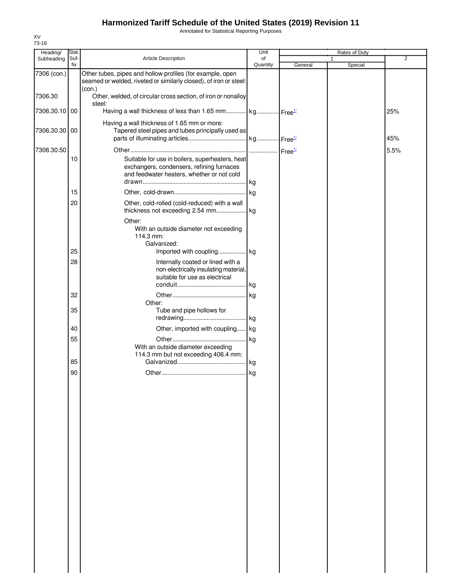Annotated for Statistical Reporting Purposes

| Heading/      | Stat.       |                                                                                                                                            | Unit           |         | Rates of Duty |                |
|---------------|-------------|--------------------------------------------------------------------------------------------------------------------------------------------|----------------|---------|---------------|----------------|
| Subheading    | Suf-<br>fix | Article Description                                                                                                                        | of<br>Quantity | General | Special       | $\overline{2}$ |
| 7306 (con.)   |             | Other tubes, pipes and hollow profiles (for example, open<br>seamed or welded, riveted or similarly closed), of iron or steel:             |                |         |               |                |
| 7306.30       |             | (con.)<br>Other, welded, of circular cross section, of iron or nonalloy                                                                    |                |         |               |                |
| 7306.30.10 00 |             | steel:<br>Having a wall thickness of less than 1.65 mm kg Free <sup>1/</sup>                                                               |                |         |               | 25%            |
| 7306.30.30 00 |             | Having a wall thickness of 1.65 mm or more:<br>Tapered steel pipes and tubes principally used as                                           |                |         |               |                |
|               |             |                                                                                                                                            |                |         |               | 45%            |
| 7306.30.50    | 10          | Suitable for use in boilers, superheaters, heat<br>exchangers, condensers, refining furnaces<br>and feedwater heaters, whether or not cold |                |         |               | 5.5%           |
|               | 15          |                                                                                                                                            |                |         |               |                |
|               | 20          | Other, cold-rolled (cold-reduced) with a wall                                                                                              |                |         |               |                |
|               |             | Other:<br>With an outside diameter not exceeding<br>114.3 mm:<br>Galvanized:                                                               |                |         |               |                |
|               | 25          |                                                                                                                                            |                |         |               |                |
|               | 28          | Internally coated or lined with a<br>non-electrically insulating material,<br>suitable for use as electrical                               |                |         |               |                |
|               |             |                                                                                                                                            |                |         |               |                |
|               | 32          | Other:                                                                                                                                     |                |         |               |                |
|               | 35          | Tube and pipe hollows for                                                                                                                  |                |         |               |                |
|               |             |                                                                                                                                            |                |         |               |                |
|               | 40          | Other, imported with coupling kg                                                                                                           |                |         |               |                |
|               | 55          | With an outside diameter exceeding                                                                                                         |                |         |               |                |
|               | 85          | 114.3 mm but not exceeding 406.4 mm:                                                                                                       |                |         |               |                |
|               |             |                                                                                                                                            |                |         |               |                |
|               | 90          |                                                                                                                                            |                |         |               |                |
|               |             |                                                                                                                                            |                |         |               |                |
|               |             |                                                                                                                                            |                |         |               |                |
|               |             |                                                                                                                                            |                |         |               |                |
|               |             |                                                                                                                                            |                |         |               |                |
|               |             |                                                                                                                                            |                |         |               |                |
|               |             |                                                                                                                                            |                |         |               |                |
|               |             |                                                                                                                                            |                |         |               |                |
|               |             |                                                                                                                                            |                |         |               |                |
|               |             |                                                                                                                                            |                |         |               |                |
|               |             |                                                                                                                                            |                |         |               |                |
|               |             |                                                                                                                                            |                |         |               |                |
|               |             |                                                                                                                                            |                |         |               |                |
|               |             |                                                                                                                                            |                |         |               |                |
|               |             |                                                                                                                                            |                |         |               |                |
|               |             |                                                                                                                                            |                |         |               |                |
|               |             |                                                                                                                                            |                |         |               |                |
|               |             |                                                                                                                                            |                |         |               |                |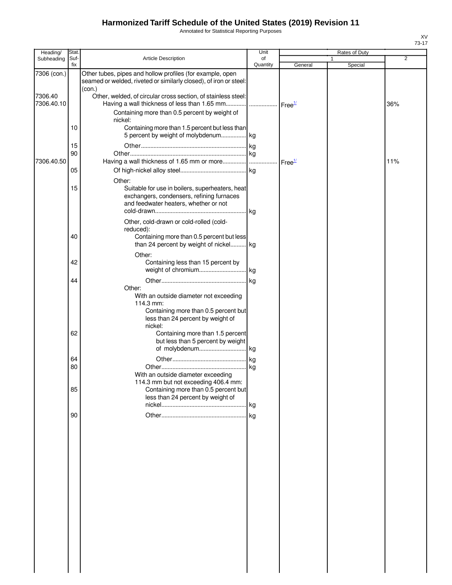Annotated for Statistical Reporting Purposes

| Heading/              | Stat.       |                                                                                                                                                       | Unit           |                    | Rates of Duty |                |
|-----------------------|-------------|-------------------------------------------------------------------------------------------------------------------------------------------------------|----------------|--------------------|---------------|----------------|
| Subheading            | Suf-<br>fix | <b>Article Description</b>                                                                                                                            | of<br>Quantity | General            | 1<br>Special  | $\overline{2}$ |
| 7306 (con.)           |             | Other tubes, pipes and hollow profiles (for example, open<br>seamed or welded, riveted or similarly closed), of iron or steel:<br>(con.)              |                |                    |               |                |
| 7306.40<br>7306.40.10 |             | Other, welded, of circular cross section, of stainless steel:                                                                                         |                |                    |               | 36%            |
|                       |             | Containing more than 0.5 percent by weight of<br>nickel:                                                                                              |                |                    |               |                |
|                       | 10          | Containing more than 1.5 percent but less than<br>5 percent by weight of molybdenum kg                                                                |                |                    |               |                |
|                       | 15<br>90    |                                                                                                                                                       |                |                    |               |                |
| 7306.40.50            | 05          |                                                                                                                                                       |                | Free <sup>1/</sup> |               | 11%            |
|                       |             | Other:                                                                                                                                                |                |                    |               |                |
|                       | 15          | Suitable for use in boilers, superheaters, heat<br>exchangers, condensers, refining furnaces<br>and feedwater heaters, whether or not                 |                |                    |               |                |
|                       | 40          | Other, cold-drawn or cold-rolled (cold-<br>reduced):<br>Containing more than 0.5 percent but less                                                     |                |                    |               |                |
|                       |             | than 24 percent by weight of nickel kg                                                                                                                |                |                    |               |                |
|                       | 42          | Other:<br>Containing less than 15 percent by                                                                                                          |                |                    |               |                |
|                       | 44          |                                                                                                                                                       |                |                    |               |                |
|                       |             | Other:<br>With an outside diameter not exceeding<br>114.3 mm:<br>Containing more than 0.5 percent but<br>less than 24 percent by weight of<br>nickel: |                |                    |               |                |
|                       | 62          | Containing more than 1.5 percent<br>but less than 5 percent by weight                                                                                 |                |                    |               |                |
|                       |             |                                                                                                                                                       |                |                    |               |                |
|                       | 64          |                                                                                                                                                       |                |                    |               |                |
|                       | 80          | With an outside diameter exceeding<br>114.3 mm but not exceeding 406.4 mm:                                                                            |                |                    |               |                |
|                       | 85          | Containing more than 0.5 percent but<br>less than 24 percent by weight of                                                                             |                |                    |               |                |
|                       |             |                                                                                                                                                       |                |                    |               |                |
|                       | 90          |                                                                                                                                                       |                |                    |               |                |
|                       |             |                                                                                                                                                       |                |                    |               |                |
|                       |             |                                                                                                                                                       |                |                    |               |                |
|                       |             |                                                                                                                                                       |                |                    |               |                |
|                       |             |                                                                                                                                                       |                |                    |               |                |
|                       |             |                                                                                                                                                       |                |                    |               |                |
|                       |             |                                                                                                                                                       |                |                    |               |                |
|                       |             |                                                                                                                                                       |                |                    |               |                |
|                       |             |                                                                                                                                                       |                |                    |               |                |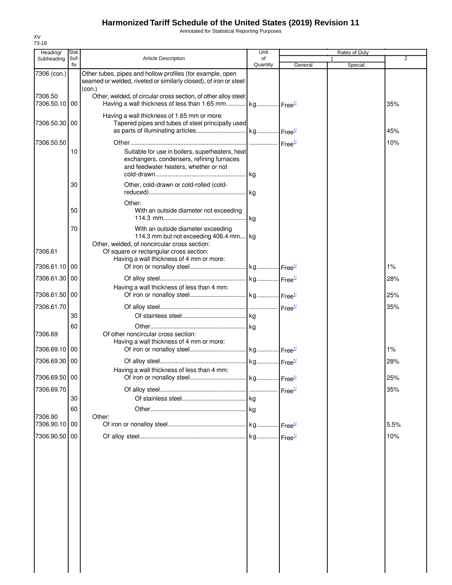Annotated for Statistical Reporting Purposes

| Heading/                 | Stat.       |                                                                                                                                          | Unit           |         | Rates of Duty |      |
|--------------------------|-------------|------------------------------------------------------------------------------------------------------------------------------------------|----------------|---------|---------------|------|
| Subheading               | Suf-<br>fix | Article Description                                                                                                                      | of<br>Quantity | General | 1<br>Special  | 2    |
| 7306 (con.)              |             | Other tubes, pipes and hollow profiles (for example, open<br>seamed or welded, riveted or similarly closed), of iron or steel:<br>(con.) |                |         |               |      |
| 7306.50<br>7306.50.10 00 |             | Other, welded, of circular cross section, of other alloy steel:<br>Having a wall thickness of less than 1.65 mm kg Free <sup>14</sup>    |                |         |               | 35%  |
| 7306.50.30 00            |             | Having a wall thickness of 1.65 mm or more:<br>Tapered pipes and tubes of steel principally used                                         |                |         |               | 45%  |
| 7306.50.50               |             |                                                                                                                                          |                |         |               | 10%  |
|                          | 10          | Suitable for use in boilers, superheaters, heat<br>exchangers, condensers, refining furnaces<br>and feedwater heaters, whether or not    |                |         |               |      |
|                          | 30          | Other, cold-drawn or cold-rolled (cold-                                                                                                  |                |         |               |      |
|                          | 50          | Other:<br>With an outside diameter not exceeding                                                                                         |                |         |               |      |
|                          | 70          | With an outside diameter exceeding<br>114.3 mm but not exceeding 406.4 mm kg<br>Other, welded, of noncircular cross section:             |                |         |               |      |
| 7306.61<br>7306.61.10    | 00          | Of square or rectangular cross section:<br>Having a wall thickness of 4 mm or more:                                                      |                |         |               | 1%   |
| 7306.61.30               | 00          |                                                                                                                                          |                |         |               | 28%  |
| 7306.61.50 00            |             | Having a wall thickness of less than 4 mm:                                                                                               |                |         |               | 25%  |
|                          |             |                                                                                                                                          |                |         |               |      |
| 7306.61.70               | 30          |                                                                                                                                          |                |         |               | 35%  |
|                          | 60          |                                                                                                                                          |                |         |               |      |
| 7306.69                  |             | Of other noncircular cross section:<br>Having a wall thickness of 4 mm or more:                                                          |                |         |               |      |
| 7306.69.10               | 00          |                                                                                                                                          |                |         |               | 1%   |
| 7306.69.30 00            |             |                                                                                                                                          |                |         |               | 28%  |
| 7306.69.50 00            |             | Having a wall thickness of less than 4 mm:                                                                                               |                |         |               | 25%  |
| 7306.69.70               |             |                                                                                                                                          |                |         |               | 35%  |
|                          | 30          |                                                                                                                                          |                |         |               |      |
| 7306.90                  | 60          | Other:                                                                                                                                   |                |         |               |      |
| 7306.90.10 00            |             |                                                                                                                                          |                |         |               | 5.5% |
| 7306.90.50 00            |             |                                                                                                                                          |                |         |               | 10%  |
|                          |             |                                                                                                                                          |                |         |               |      |
|                          |             |                                                                                                                                          |                |         |               |      |
|                          |             |                                                                                                                                          |                |         |               |      |
|                          |             |                                                                                                                                          |                |         |               |      |
|                          |             |                                                                                                                                          |                |         |               |      |
|                          |             |                                                                                                                                          |                |         |               |      |
|                          |             |                                                                                                                                          |                |         |               |      |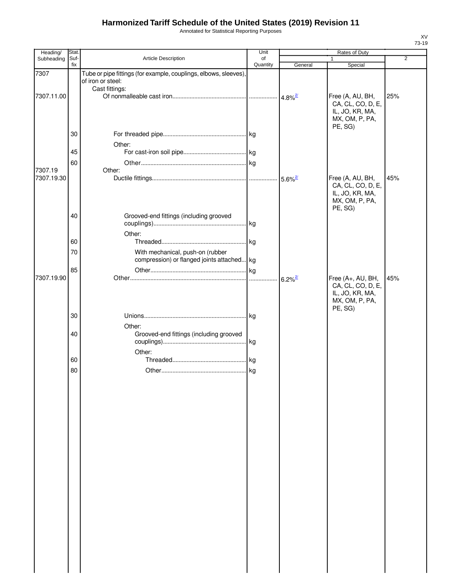Annotated for Statistical Reporting Purposes

| Heading/   | Stat.       |                                                                                       | Unit           | Rates of Duty         |                                                                                        |                |  |
|------------|-------------|---------------------------------------------------------------------------------------|----------------|-----------------------|----------------------------------------------------------------------------------------|----------------|--|
| Subheading | Suf-<br>fix | Article Description                                                                   | of<br>Quantity | General               | 1<br>Special                                                                           | $\overline{2}$ |  |
| 7307       |             | Tube or pipe fittings (for example, couplings, elbows, sleeves),<br>of iron or steel: |                |                       |                                                                                        |                |  |
| 7307.11.00 |             | Cast fittings:                                                                        |                | $4.8\%$ <sup>2/</sup> | Free (A, AU, BH,<br>CA, CL, CO, D, E,<br>IL, JO, KR, MA,<br>MX, OM, P, PA,<br>PE, SG)  | 25%            |  |
|            | 30          | Other:                                                                                |                |                       |                                                                                        |                |  |
|            | 45          |                                                                                       |                |                       |                                                                                        |                |  |
| 7307.19    | 60          | Other:                                                                                |                |                       |                                                                                        |                |  |
| 7307.19.30 |             |                                                                                       |                |                       | Free (A, AU, BH,<br>CA, CL, CO, D, E,<br>IL, JO, KR, MA,<br>MX, OM, P, PA,             | 45%            |  |
|            | 40          | Grooved-end fittings (including grooved                                               |                |                       | PE, SG)                                                                                |                |  |
|            | 60          | Other:                                                                                |                |                       |                                                                                        |                |  |
|            | 70          | With mechanical, push-on (rubber<br>compression) or flanged joints attached kg        |                |                       |                                                                                        |                |  |
|            | 85          |                                                                                       |                |                       |                                                                                        |                |  |
| 7307.19.90 |             |                                                                                       |                | $6.2\%$ <sup>2/</sup> | Free (A+, AU, BH,<br>CA, CL, CO, D, E,<br>IL, JO, KR, MA,<br>MX, OM, P, PA,<br>PE, SG) | 45%            |  |
|            | 30          |                                                                                       |                |                       |                                                                                        |                |  |
|            | 40          | Other:<br>Grooved-end fittings (including grooved                                     |                |                       |                                                                                        |                |  |
|            | 60          | Other:                                                                                |                |                       |                                                                                        |                |  |
|            | 80          |                                                                                       |                |                       |                                                                                        |                |  |
|            |             |                                                                                       |                |                       |                                                                                        |                |  |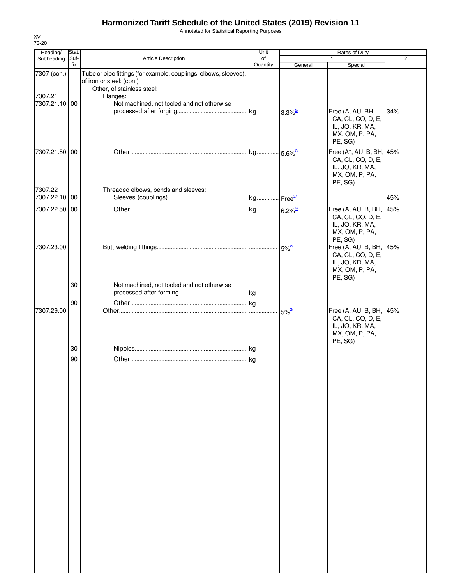Annotated for Statistical Reporting Purposes

| Heading/                                | Stat.       |                                                                                                                                                                                      | Unit                  |                     | Rates of Duty                                                                                 |                |
|-----------------------------------------|-------------|--------------------------------------------------------------------------------------------------------------------------------------------------------------------------------------|-----------------------|---------------------|-----------------------------------------------------------------------------------------------|----------------|
| Subheading                              | Suf-<br>fix | Article Description                                                                                                                                                                  | of<br>Quantity        | General             | $\mathbf{1}$<br>Special                                                                       | $\overline{2}$ |
| 7307 (con.)<br>7307.21<br>7307.21.10 00 |             | Tube or pipe fittings (for example, couplings, elbows, sleeves),<br>of iron or steel: (con.)<br>Other, of stainless steel:<br>Flanges:<br>Not machined, not tooled and not otherwise |                       |                     |                                                                                               |                |
|                                         |             |                                                                                                                                                                                      |                       |                     | Free (A, AU, BH,<br>CA, CL, CO, D, E,<br>IL, JO, KR, MA,<br>MX, OM, P, PA,<br>PE, SG)         | 34%            |
| 7307.21.50 00                           |             |                                                                                                                                                                                      | kg 5.6% <sup>2/</sup> |                     | Free (A*, AU, B, BH, 45%<br>CA, CL, CO, D, E,<br>IL, JO, KR, MA,<br>MX, OM, P, PA,<br>PE, SG) |                |
| 7307.22<br>7307.22.10 00                |             | Threaded elbows, bends and sleeves:                                                                                                                                                  |                       |                     |                                                                                               | 45%            |
| 7307.22.50 00                           |             |                                                                                                                                                                                      |                       |                     | Free (A, AU, B, BH,<br>CA, CL, CO, D, E,<br>IL, JO, KR, MA,<br>MX, OM, P, PA,<br>PE, SG)      | 45%            |
| 7307.23.00                              |             |                                                                                                                                                                                      |                       | $5\%^{27}$          | Free (A, AU, B, BH,<br>CA, CL, CO, D, E,<br>IL, JO, KR, MA,<br>MX, OM, P, PA,<br>PE, SG)      | 45%            |
|                                         | 30          | Not machined, not tooled and not otherwise                                                                                                                                           |                       |                     |                                                                                               |                |
| 7307.29.00                              | 90          |                                                                                                                                                                                      |                       | $5\%$ <sup>2/</sup> | Free (A, AU, B, BH,<br>CA, CL, CO, D, E,<br>IL, JO, KR, MA,<br>MX, OM, P, PA,                 | 45%            |
|                                         | 30          |                                                                                                                                                                                      |                       |                     | PE, SG)                                                                                       |                |
|                                         | 90          |                                                                                                                                                                                      |                       |                     |                                                                                               |                |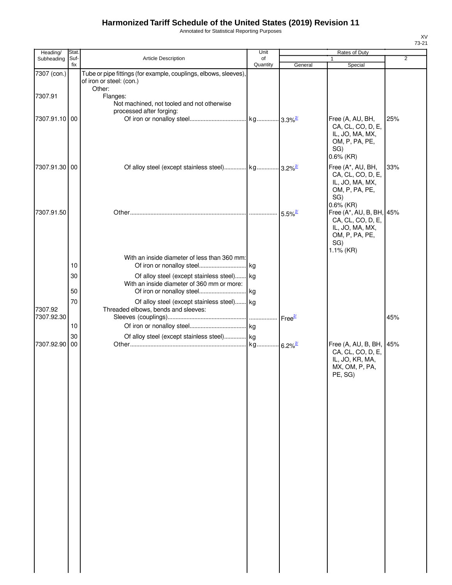Annotated for Statistical Reporting Purposes

| Heading/              | Stat.       |                                                                                              | Unit           |                       | Rates of Duty                                                                                             |                |
|-----------------------|-------------|----------------------------------------------------------------------------------------------|----------------|-----------------------|-----------------------------------------------------------------------------------------------------------|----------------|
| Subheading            | Suf-<br>fix | Article Description                                                                          | of<br>Quantity | General               | 1<br>Special                                                                                              | $\overline{2}$ |
| 7307 (con.)           |             | Tube or pipe fittings (for example, couplings, elbows, sleeves),<br>of iron or steel: (con.) |                |                       |                                                                                                           |                |
| 7307.91               |             | Other:<br>Flanges:<br>Not machined, not tooled and not otherwise<br>processed after forging: |                |                       |                                                                                                           |                |
| 7307.91.10 00         |             |                                                                                              |                |                       | Free (A, AU, BH,<br>CA, CL, CO, D, E,<br>IL, JO, MA, MX,<br>OM, P, PA, PE,<br>SG)<br>$0.6\%$ (KR)         | 25%            |
| 7307.91.30 00         |             |                                                                                              |                |                       | Free (A*, AU, BH,<br>CA, CL, CO, D, E,<br>IL, JO, MA, MX,<br>OM, P, PA, PE,<br>SG)                        | 33%            |
| 7307.91.50            |             |                                                                                              |                | $5.5\%$ <sup>2/</sup> | $0.6\%$ (KR)<br>Free (A*, AU, B, BH, 45%<br>CA, CL, CO, D, E,<br>IL, JO, MA, MX,<br>OM, P, PA, PE,<br>SG) |                |
|                       | 10          | With an inside diameter of less than 360 mm:                                                 |                |                       | $1.1\%$ (KR)                                                                                              |                |
|                       | 30<br>50    | Of alloy steel (except stainless steel) kg<br>With an inside diameter of 360 mm or more:     |                |                       |                                                                                                           |                |
|                       | 70          | Of alloy steel (except stainless steel) kg                                                   |                |                       |                                                                                                           |                |
| 7307.92<br>7307.92.30 |             | Threaded elbows, bends and sleeves:                                                          |                |                       |                                                                                                           | 45%            |
|                       | 10          |                                                                                              |                |                       |                                                                                                           |                |
| 7307.92.90            | 30<br>00    | Of alloy steel (except stainless steel) kg                                                   |                |                       | Free (A, AU, B, BH,<br>CA, CL, CO, D, E,<br>IL, JO, KR, MA,<br>MX, OM, P, PA,<br>PE, SG)                  | 45%            |
|                       |             |                                                                                              |                |                       |                                                                                                           |                |
|                       |             |                                                                                              |                |                       |                                                                                                           |                |
|                       |             |                                                                                              |                |                       |                                                                                                           |                |
|                       |             |                                                                                              |                |                       |                                                                                                           |                |
|                       |             |                                                                                              |                |                       |                                                                                                           |                |
|                       |             |                                                                                              |                |                       |                                                                                                           |                |
|                       |             |                                                                                              |                |                       |                                                                                                           |                |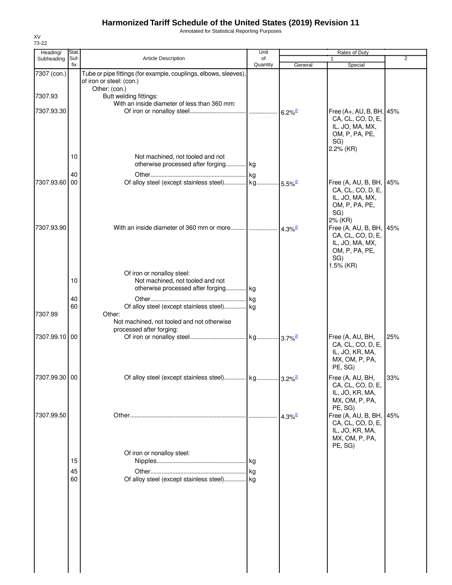Annotated for Statistical Reporting Purposes

| 73-22                  |               |                                                                                                               | Unit     |                       |                                                                                                                  |                |
|------------------------|---------------|---------------------------------------------------------------------------------------------------------------|----------|-----------------------|------------------------------------------------------------------------------------------------------------------|----------------|
| Heading/<br>Subheading | Stat.<br>Suf- | <b>Article Description</b>                                                                                    | of       |                       | Rates of Duty                                                                                                    | $\overline{2}$ |
|                        | fix           |                                                                                                               | Quantity | General               | Special                                                                                                          |                |
| 7307 (con.)            |               | Tube or pipe fittings (for example, couplings, elbows, sleeves),<br>of iron or steel: (con.)<br>Other: (con.) |          |                       |                                                                                                                  |                |
| 7307.93                |               | Butt welding fittings:<br>With an inside diameter of less than 360 mm:                                        |          |                       |                                                                                                                  |                |
| 7307.93.30             |               |                                                                                                               |          |                       | Free (A+, AU, B, BH, 45%<br>CA, CL, CO, D, E,<br>IL, JO, MA, MX,<br>OM, P, PA, PE,<br>SG)<br>2.2% (KR)           |                |
|                        | 10            | Not machined, not tooled and not<br>otherwise processed after forging kg                                      |          |                       |                                                                                                                  |                |
|                        | 40            |                                                                                                               |          |                       |                                                                                                                  |                |
| 7307.93.60             | 00            |                                                                                                               |          |                       | Free (A, AU, B, BH, 45%<br>CA, CL, CO, D, E,<br>IL, JO, MA, MX,<br>OM, P, PA, PE,<br>SG)                         |                |
| 7307.93.90             |               | With an inside diameter of 360 mm or more $\frac{1}{4.3\%^{2}}$                                               |          |                       | 2% (KR)<br>Free (A, AU, B, BH, 45%<br>CA, CL, CO, D, E,<br>IL, JO, MA, MX,<br>OM, P, PA, PE,<br>SG)<br>1.5% (KR) |                |
|                        |               | Of iron or nonalloy steel:                                                                                    |          |                       |                                                                                                                  |                |
|                        | 10            | Not machined, not tooled and not<br>otherwise processed after forging kg                                      |          |                       |                                                                                                                  |                |
|                        | 40            |                                                                                                               |          |                       |                                                                                                                  |                |
|                        | 60            | Of alloy steel (except stainless steel) kg                                                                    |          |                       |                                                                                                                  |                |
| 7307.99                |               | Other:<br>Not machined, not tooled and not otherwise<br>processed after forging:                              |          |                       |                                                                                                                  |                |
| 7307.99.10 00          |               |                                                                                                               |          |                       | Free (A, AU, BH,<br>CA, CL, CO, D, E,<br>IL, JO, KR, MA,<br>MX, OM, P, PA,<br>PE, SG)                            | 25%            |
| 7307.99.30 00          |               |                                                                                                               |          |                       | Free (A, AU, BH,<br>CA, CL, CO, D, E,<br>IL, JO, KR, MA,<br>MX, OM, P, PA,<br>PE, SG)                            | 33%            |
| 7307.99.50             |               |                                                                                                               |          | $4.3\%$ <sup>2/</sup> | Free (A, AU, B, BH,<br>CA, CL, CO, D, E,<br>IL, JO, KR, MA,<br>MX, OM, P, PA,<br>PE, SG)                         | 45%            |
|                        | 15            | Of iron or nonalloy steel:                                                                                    |          |                       |                                                                                                                  |                |
|                        | 45            |                                                                                                               |          |                       |                                                                                                                  |                |
|                        | 60            | Of alloy steel (except stainless steel) kg                                                                    |          |                       |                                                                                                                  |                |
|                        |               |                                                                                                               |          |                       |                                                                                                                  |                |

XV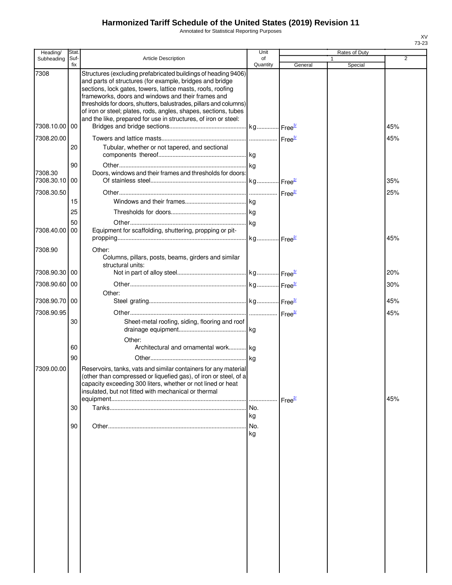Annotated for Statistical Reporting Purposes

| Heading/              | Stat.          |                                                                                                                                                                                                                                                                                                                                                                                         | Unit           |         | Rates of Duty |                |
|-----------------------|----------------|-----------------------------------------------------------------------------------------------------------------------------------------------------------------------------------------------------------------------------------------------------------------------------------------------------------------------------------------------------------------------------------------|----------------|---------|---------------|----------------|
| Subheading            | Suf-<br>fix    | <b>Article Description</b>                                                                                                                                                                                                                                                                                                                                                              | of<br>Quantity | General | Special       | $\overline{2}$ |
| 7308                  |                | Structures (excluding prefabricated buildings of heading 9406)<br>and parts of structures (for example, bridges and bridge<br>sections, lock gates, towers, lattice masts, roofs, roofing<br>frameworks, doors and windows and their frames and<br>thresholds for doors, shutters, balustrades, pillars and columns)<br>of iron or steel; plates, rods, angles, shapes, sections, tubes |                |         |               |                |
| 7308.10.00            | 00             | and the like, prepared for use in structures, of iron or steel:                                                                                                                                                                                                                                                                                                                         |                |         |               | 45%            |
| 7308.20.00            | 20             | Tubular, whether or not tapered, and sectional                                                                                                                                                                                                                                                                                                                                          |                |         |               | 45%            |
| 7308.30<br>7308.30.10 | 90<br>00       | Doors, windows and their frames and thresholds for doors:                                                                                                                                                                                                                                                                                                                               |                |         |               | 35%            |
| 7308.30.50            | 15             |                                                                                                                                                                                                                                                                                                                                                                                         |                |         |               | 25%            |
| 7308.40.00            | 25<br>50<br>00 | Equipment for scaffolding, shuttering, propping or pit-                                                                                                                                                                                                                                                                                                                                 |                |         |               | 45%            |
| 7308.90               |                | Other:<br>Columns, pillars, posts, beams, girders and similar<br>structural units:                                                                                                                                                                                                                                                                                                      |                |         |               |                |
| 7308.90.30            | 00             |                                                                                                                                                                                                                                                                                                                                                                                         |                |         |               | 20%            |
| 7308.90.60            | 00             | Other:                                                                                                                                                                                                                                                                                                                                                                                  |                |         |               | 30%            |
| 7308.90.70 00         |                |                                                                                                                                                                                                                                                                                                                                                                                         |                |         |               | 45%            |
| 7308.90.95            | 30             | Sheet-metal roofing, siding, flooring and roof                                                                                                                                                                                                                                                                                                                                          |                |         |               | 45%            |
|                       | 60             | Other:<br>Architectural and ornamental work kg                                                                                                                                                                                                                                                                                                                                          |                |         |               |                |
| 7309.00.00            | 90             | Reservoirs, tanks, vats and similar containers for any material<br>(other than compressed or liquefied gas), of iron or steel, of a<br>capacity exceeding 300 liters, whether or not lined or heat<br>insulated, but not fitted with mechanical or thermal                                                                                                                              |                |         |               | 45%            |
|                       | 30             |                                                                                                                                                                                                                                                                                                                                                                                         | No.<br>kg      |         |               |                |
|                       | 90             |                                                                                                                                                                                                                                                                                                                                                                                         | No.<br>kg      |         |               |                |
|                       |                |                                                                                                                                                                                                                                                                                                                                                                                         |                |         |               |                |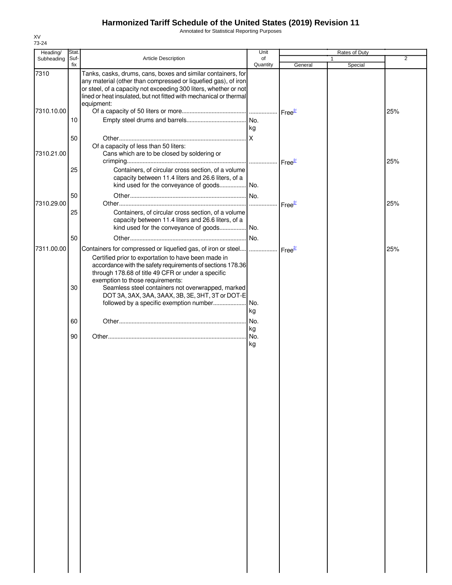Annotated for Statistical Reporting Purposes

| Heading/   | Stat.           |                                                                                                                                                                                                                                                                                        | Unit            |                    | Rates of Duty           |                |
|------------|-----------------|----------------------------------------------------------------------------------------------------------------------------------------------------------------------------------------------------------------------------------------------------------------------------------------|-----------------|--------------------|-------------------------|----------------|
| Subheading | Suf-<br>fix     | Article Description                                                                                                                                                                                                                                                                    | of<br>Quantity  | General            | $\mathbf{1}$<br>Special | $\overline{2}$ |
| 7310       |                 | Tanks, casks, drums, cans, boxes and similar containers, for<br>any material (other than compressed or liquefied gas), of iron<br>or steel, of a capacity not exceeding 300 liters, whether or not<br>lined or heat insulated, but not fitted with mechanical or thermal<br>equipment: |                 |                    |                         |                |
| 7310.10.00 | 10 <sup>°</sup> |                                                                                                                                                                                                                                                                                        |                 |                    |                         | 25%            |
|            | 50              |                                                                                                                                                                                                                                                                                        | kg              |                    |                         |                |
| 7310.21.00 |                 | Of a capacity of less than 50 liters:<br>Cans which are to be closed by soldering or                                                                                                                                                                                                   |                 | Free <sup>2/</sup> |                         | 25%            |
|            | 25              | Containers, of circular cross section, of a volume<br>capacity between 11.4 liters and 26.6 liters, of a<br>kind used for the conveyance of goods No.                                                                                                                                  |                 |                    |                         |                |
| 7310.29.00 | 50              |                                                                                                                                                                                                                                                                                        |                 | Free <sup>2/</sup> |                         | 25%            |
|            | 25              | Containers, of circular cross section, of a volume<br>capacity between 11.4 liters and 26.6 liters, of a<br>kind used for the conveyance of goods No.                                                                                                                                  |                 |                    |                         |                |
|            | 50              |                                                                                                                                                                                                                                                                                        | No.             |                    |                         |                |
| 7311.00.00 |                 | Containers for compressed or liquefied gas, of iron or steel      Free <sup>27</sup><br>Certified prior to exportation to have been made in<br>accordance with the safety requirements of sections 178.36<br>through 178.68 of title 49 CFR or under a specific                        |                 |                    |                         | 25%            |
|            | 30              | exemption to those requirements:<br>Seamless steel containers not overwrapped, marked<br>DOT 3A, 3AX, 3AA, 3AAX, 3B, 3E, 3HT, 3T or DOT-E                                                                                                                                              |                 |                    |                         |                |
|            | 60              |                                                                                                                                                                                                                                                                                        | kg<br>. No.     |                    |                         |                |
|            | 90              |                                                                                                                                                                                                                                                                                        | kg<br>No.<br>kg |                    |                         |                |
|            |                 |                                                                                                                                                                                                                                                                                        |                 |                    |                         |                |
|            |                 |                                                                                                                                                                                                                                                                                        |                 |                    |                         |                |
|            |                 |                                                                                                                                                                                                                                                                                        |                 |                    |                         |                |
|            |                 |                                                                                                                                                                                                                                                                                        |                 |                    |                         |                |
|            |                 |                                                                                                                                                                                                                                                                                        |                 |                    |                         |                |
|            |                 |                                                                                                                                                                                                                                                                                        |                 |                    |                         |                |
|            |                 |                                                                                                                                                                                                                                                                                        |                 |                    |                         |                |
|            |                 |                                                                                                                                                                                                                                                                                        |                 |                    |                         |                |
|            |                 |                                                                                                                                                                                                                                                                                        |                 |                    |                         |                |
|            |                 |                                                                                                                                                                                                                                                                                        |                 |                    |                         |                |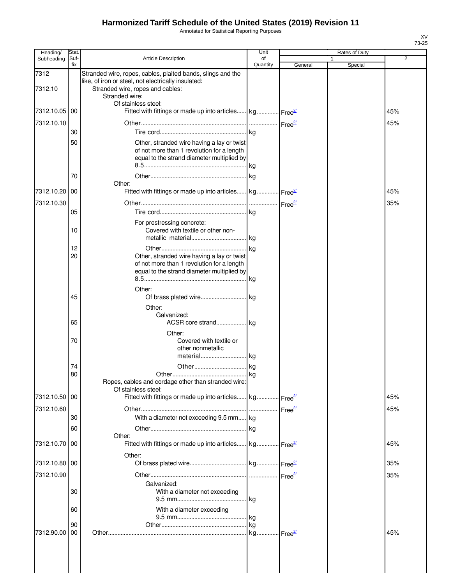Annotated for Statistical Reporting Purposes

| Heading/        | Stat.       |                                                                                                                                                                                                 | Unit           |         | Rates of Duty |                |
|-----------------|-------------|-------------------------------------------------------------------------------------------------------------------------------------------------------------------------------------------------|----------------|---------|---------------|----------------|
| Subheading      | Suf-<br>fix | <b>Article Description</b>                                                                                                                                                                      | of<br>Quantity | General | 1<br>Special  | $\overline{2}$ |
| 7312<br>7312.10 |             | Stranded wire, ropes, cables, plaited bands, slings and the<br>like, of iron or steel, not electrically insulated:<br>Stranded wire, ropes and cables:<br>Stranded wire:<br>Of stainless steel: |                |         |               |                |
| 7312.10.05      | 00          | Fitted with fittings or made up into articles kg Free <sup>2</sup>                                                                                                                              |                |         |               | 45%            |
| 7312.10.10      |             |                                                                                                                                                                                                 |                |         |               | 45%            |
|                 | 30          |                                                                                                                                                                                                 |                |         |               |                |
|                 | 50<br>70    | Other, stranded wire having a lay or twist<br>of not more than 1 revolution for a length<br>equal to the strand diameter multiplied by                                                          |                |         |               |                |
|                 |             | Other:                                                                                                                                                                                          |                |         |               |                |
| 7312.10.20      | 00          | Fitted with fittings or made up into articles kg Free <sup>27</sup>                                                                                                                             |                |         |               | 45%            |
| 7312.10.30      |             |                                                                                                                                                                                                 |                |         |               | 35%            |
|                 | 05          |                                                                                                                                                                                                 |                |         |               |                |
|                 | 10          | For prestressing concrete:<br>Covered with textile or other non-                                                                                                                                |                |         |               |                |
|                 | 12          |                                                                                                                                                                                                 |                |         |               |                |
|                 | 20          | Other, stranded wire having a lay or twist<br>of not more than 1 revolution for a length<br>equal to the strand diameter multiplied by                                                          |                |         |               |                |
|                 | 45          | Other:                                                                                                                                                                                          |                |         |               |                |
|                 | 65          | Other:<br>Galvanized:                                                                                                                                                                           |                |         |               |                |
|                 | 70          | Other:<br>Covered with textile or<br>other nonmetallic<br>material kg                                                                                                                           |                |         |               |                |
|                 | 74          |                                                                                                                                                                                                 |                |         |               |                |
|                 | 80          | Ropes, cables and cordage other than stranded wire:<br>Of stainless steel:                                                                                                                      |                |         |               |                |
| 7312.10.50 00   |             | Fitted with fittings or made up into articles kg Free <sup>21</sup>                                                                                                                             |                |         |               | 45%            |
| 7312.10.60      |             |                                                                                                                                                                                                 |                |         |               | 45%            |
|                 | 30          | With a diameter not exceeding 9.5 mm kg                                                                                                                                                         |                |         |               |                |
|                 | 60          |                                                                                                                                                                                                 |                |         |               |                |
| 7312.10.70      | 00          | Other:<br>Fitted with fittings or made up into articles kg Free <sup>21</sup>                                                                                                                   |                |         |               | 45%            |
| 7312.10.80 00   |             | Other:                                                                                                                                                                                          |                |         |               | 35%            |
| 7312.10.90      |             |                                                                                                                                                                                                 |                |         |               | 35%            |
|                 |             | Galvanized:                                                                                                                                                                                     |                |         |               |                |
|                 | 30          | With a diameter not exceeding                                                                                                                                                                   |                |         |               |                |
|                 | 60          | With a diameter exceeding                                                                                                                                                                       |                |         |               |                |
|                 | 90          |                                                                                                                                                                                                 | kg             |         |               |                |
| 7312.90.00      | 00          |                                                                                                                                                                                                 |                |         |               | 45%            |
|                 |             |                                                                                                                                                                                                 |                |         |               |                |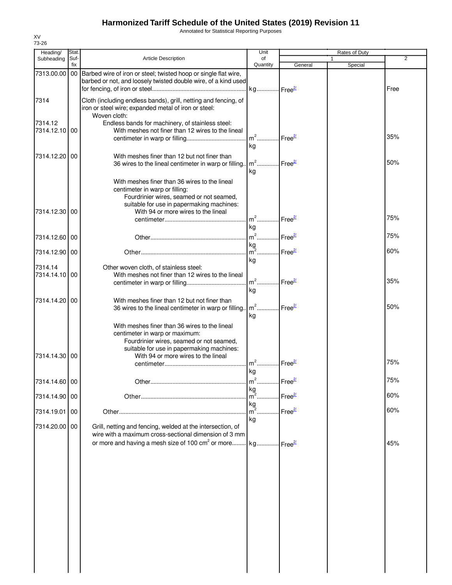Annotated for Statistical Reporting Purposes

| Heading/                 | Stat.       |                                                                                                                                                                                                                 | Unit                                    |                    | Rates of Duty           |      |
|--------------------------|-------------|-----------------------------------------------------------------------------------------------------------------------------------------------------------------------------------------------------------------|-----------------------------------------|--------------------|-------------------------|------|
| Subheading               | Suf-<br>fix | <b>Article Description</b>                                                                                                                                                                                      | of<br>Quantity                          | General            | $\mathbf{1}$<br>Special | 2    |
| 7313.00.00               |             | 00 Barbed wire of iron or steel; twisted hoop or single flat wire,<br>barbed or not, and loosely twisted double wire, of a kind used                                                                            |                                         |                    |                         | Free |
| 7314                     |             | Cloth (including endless bands), grill, netting and fencing, of<br>iron or steel wire; expanded metal of iron or steel:<br>Woven cloth:                                                                         |                                         |                    |                         |      |
| 7314.12<br>7314.12.10    | 00          | Endless bands for machinery, of stainless steel:<br>With meshes not finer than 12 wires to the lineal                                                                                                           | $m2$<br>kg                              | Free <sup>2/</sup> |                         | 35%  |
| 7314.12.20               | $00\,$      | With meshes finer than 12 but not finer than<br>36 wires to the lineal centimeter in warp or filling.                                                                                                           | $m2$<br>kg                              | Free <sup>2/</sup> |                         | 50%  |
| 7314.12.30 00            |             | With meshes finer than 36 wires to the lineal<br>centimeter in warp or filling:<br>Fourdrinier wires, seamed or not seamed,<br>suitable for use in papermaking machines:<br>With 94 or more wires to the lineal |                                         |                    |                         |      |
|                          |             |                                                                                                                                                                                                                 | m <sup>2</sup> Free <sup>2/</sup><br>kg |                    |                         | 75%  |
| 7314.12.60 00            |             |                                                                                                                                                                                                                 | m <sup>2</sup> Free <sup>2/</sup>       |                    |                         | 75%  |
| 7314.12.90 00            |             |                                                                                                                                                                                                                 | $\frac{kg}{m^2}$<br>kg                  | Free <sup>2/</sup> |                         | 60%  |
| 7314.14<br>7314.14.10100 |             | Other woven cloth, of stainless steel:<br>With meshes not finer than 12 wires to the lineal                                                                                                                     | $m2$ .<br>kg                            | Free <sup>2/</sup> |                         | 35%  |
| 7314.14.20100            |             | With meshes finer than 12 but not finer than<br>36 wires to the lineal centimeter in warp or filling                                                                                                            | $m2$ Free $\frac{27}{2}$<br>kg          |                    |                         | 50%  |
| 7314.14.30 00            |             | With meshes finer than 36 wires to the lineal<br>centimeter in warp or maximum:<br>Fourdrinier wires, seamed or not seamed,<br>suitable for use in papermaking machines:<br>With 94 or more wires to the lineal |                                         |                    |                         |      |
|                          |             |                                                                                                                                                                                                                 | $m2$<br>kg                              | Free <sup>21</sup> |                         | 75%  |
| 7314.14.60 00            |             |                                                                                                                                                                                                                 |                                         |                    |                         | 75%  |
| 7314.14.90 00            |             |                                                                                                                                                                                                                 |                                         |                    |                         | 60%  |
| 7314.19.01               | 00          |                                                                                                                                                                                                                 | kg<br>$m^2$ .<br>kg                     | Free <sup>2/</sup> |                         | 60%  |
| 7314.20.00 00            |             | Grill, netting and fencing, welded at the intersection, of<br>wire with a maximum cross-sectional dimension of 3 mm                                                                                             |                                         |                    |                         |      |
|                          |             | or more and having a mesh size of 100 cm <sup>2</sup> or more kg Free <sup>27</sup>                                                                                                                             |                                         |                    |                         | 45%  |
|                          |             |                                                                                                                                                                                                                 |                                         |                    |                         |      |
|                          |             |                                                                                                                                                                                                                 |                                         |                    |                         |      |
|                          |             |                                                                                                                                                                                                                 |                                         |                    |                         |      |
|                          |             |                                                                                                                                                                                                                 |                                         |                    |                         |      |
|                          |             |                                                                                                                                                                                                                 |                                         |                    |                         |      |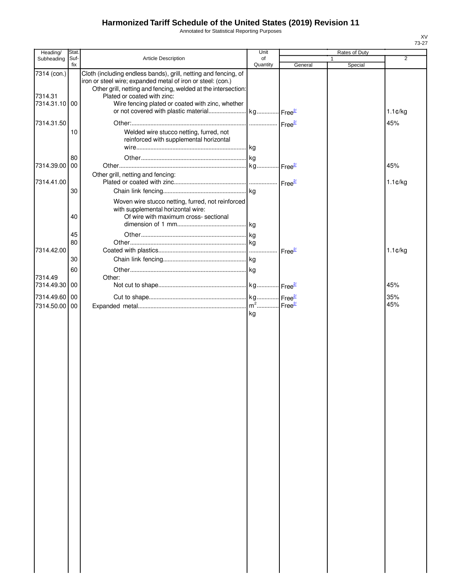Annotated for Statistical Reporting Purposes

| Heading/                                | Stat.       |                                                                                                                                                                                                                                                                                    | Unit           |                    | Rates of Duty |                          |
|-----------------------------------------|-------------|------------------------------------------------------------------------------------------------------------------------------------------------------------------------------------------------------------------------------------------------------------------------------------|----------------|--------------------|---------------|--------------------------|
| Subheading                              | Suf-<br>fix | Article Description                                                                                                                                                                                                                                                                | of<br>Quantity | General            | Special       | $\overline{2}$           |
| 7314 (con.)<br>7314.31<br>7314.31.10 00 |             | Cloth (including endless bands), grill, netting and fencing, of<br>iron or steel wire; expanded metal of iron or steel: (con.)<br>Other grill, netting and fencing, welded at the intersection:<br>Plated or coated with zinc:<br>Wire fencing plated or coated with zinc, whether |                |                    |               | $1.1 \text{C/kg}$        |
| 7314.31.50                              | 10          | Welded wire stucco netting, furred, not<br>reinforced with supplemental horizontal                                                                                                                                                                                                 |                |                    |               | 45%                      |
| 7314.39.00 00<br>7314.41.00             | 80          | Other grill, netting and fencing:                                                                                                                                                                                                                                                  |                |                    |               | 45%<br>$1.1 \text{C/kg}$ |
|                                         | 30<br>40    | Woven wire stucco netting, furred, not reinforced<br>with supplemental horizontal wire:<br>Of wire with maximum cross- sectional                                                                                                                                                   |                |                    |               |                          |
| 7314.42.00                              | 45<br>80    |                                                                                                                                                                                                                                                                                    |                | Free <sup>2/</sup> |               | $1.1$ ¢/kg               |
| 7314.49<br>7314.49.30 00                | 30<br>60    | Other:                                                                                                                                                                                                                                                                             |                |                    |               | 45%                      |
| 7314.49.60 00<br>7314.50.00 00          |             |                                                                                                                                                                                                                                                                                    | kg             |                    |               | 35%<br>45%               |
|                                         |             |                                                                                                                                                                                                                                                                                    |                |                    |               |                          |
|                                         |             |                                                                                                                                                                                                                                                                                    |                |                    |               |                          |
|                                         |             |                                                                                                                                                                                                                                                                                    |                |                    |               |                          |
|                                         |             |                                                                                                                                                                                                                                                                                    |                |                    |               |                          |
|                                         |             |                                                                                                                                                                                                                                                                                    |                |                    |               |                          |
|                                         |             |                                                                                                                                                                                                                                                                                    |                |                    |               |                          |
|                                         |             |                                                                                                                                                                                                                                                                                    |                |                    |               |                          |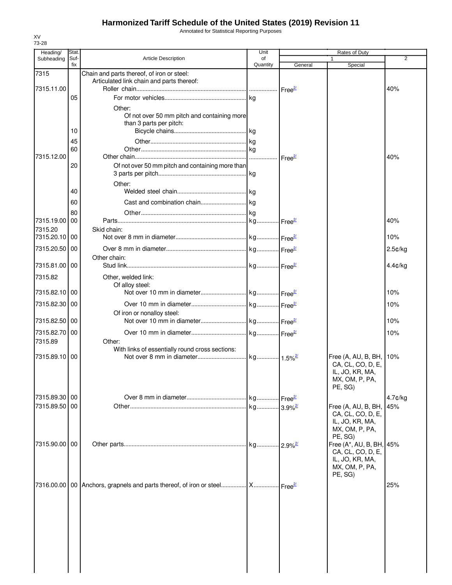Annotated for Statistical Reporting Purposes

| Heading/                 | <b>Stat</b> |                                                                                                | Unit                  |                         | Rates of Duty                                                                                |            |
|--------------------------|-------------|------------------------------------------------------------------------------------------------|-----------------------|-------------------------|----------------------------------------------------------------------------------------------|------------|
| Subheading               | Suf-<br>fix | <b>Article Description</b>                                                                     | of<br>Quantity        | General                 | Special                                                                                      | 2          |
| 7315                     |             | Chain and parts thereof, of iron or steel:                                                     |                       |                         |                                                                                              |            |
|                          |             | Articulated link chain and parts thereof:                                                      |                       |                         |                                                                                              |            |
| 7315.11.00               | 05          |                                                                                                |                       |                         |                                                                                              | 40%        |
|                          |             |                                                                                                |                       |                         |                                                                                              |            |
|                          |             | Other:<br>Of not over 50 mm pitch and containing more                                          |                       |                         |                                                                                              |            |
|                          |             | than 3 parts per pitch:                                                                        |                       |                         |                                                                                              |            |
|                          | 10          |                                                                                                |                       |                         |                                                                                              |            |
|                          | 45          |                                                                                                |                       |                         |                                                                                              |            |
|                          | 60          |                                                                                                |                       |                         |                                                                                              |            |
| 7315.12.00               |             |                                                                                                |                       |                         |                                                                                              | 40%        |
|                          | 20          | Of not over 50 mm pitch and containing more than                                               |                       |                         |                                                                                              |            |
|                          |             | Other:                                                                                         |                       |                         |                                                                                              |            |
|                          | 40          |                                                                                                |                       |                         |                                                                                              |            |
|                          | 60          |                                                                                                |                       |                         |                                                                                              |            |
|                          | 80          |                                                                                                |                       |                         |                                                                                              |            |
| 7315.19.00               | 00          |                                                                                                |                       |                         |                                                                                              | 40%        |
| 7315.20<br>7315.20.10 00 |             | Skid chain:                                                                                    |                       |                         |                                                                                              | 10%        |
|                          |             |                                                                                                |                       |                         |                                                                                              |            |
| 7315.20.50 00            |             |                                                                                                |                       |                         |                                                                                              | 2.5¢/kg    |
| 7315.81.00               | 00          | Other chain:                                                                                   |                       |                         |                                                                                              | $4.4$ ¢/kg |
|                          |             |                                                                                                |                       |                         |                                                                                              |            |
| 7315.82                  |             | Other, welded link:<br>Of alloy steel:                                                         |                       |                         |                                                                                              |            |
| 7315.82.10               | 00          |                                                                                                |                       |                         |                                                                                              | 10%        |
| 7315.82.30 00            |             |                                                                                                |                       |                         |                                                                                              | 10%        |
|                          |             | Of iron or nonalloy steel:                                                                     |                       |                         |                                                                                              |            |
| 7315.82.50 00            |             |                                                                                                |                       |                         |                                                                                              | 10%        |
| 7315.82.70 00            |             |                                                                                                |                       |                         |                                                                                              | 10%        |
| 7315.89                  |             | Other:                                                                                         |                       |                         |                                                                                              |            |
|                          |             | With links of essentially round cross sections:                                                |                       |                         |                                                                                              |            |
| 7315.89.10 00            |             |                                                                                                |                       |                         | Free (A, AU, B, BH, 10%<br>CA, CL, CO, D, E,<br>IL, JO, KR, MA,<br>MX, OM, P, PA,<br>PE, SG) |            |
| 7315.89.30 00            |             |                                                                                                |                       |                         |                                                                                              | $4.7$ ¢/kg |
| 7315.89.50 00            |             |                                                                                                | kg 3.9% <sup>2/</sup> |                         | Free (A, AU, B, BH,<br>CA, CL, CO, D, E,<br>IL, JO, KR, MA,<br>MX, OM, P, PA,                | 45%        |
| 7315.90.00 00            |             |                                                                                                | . kg                  | $.12.9\%$ <sup>2/</sup> | PE, SG)<br>Free (A*, AU, B, BH, 45%                                                          |            |
|                          |             |                                                                                                |                       |                         | CA, CL, CO, D, E,<br>IL, JO, KR, MA,<br>MX, OM, P, PA,<br>PE, SG)                            |            |
|                          |             | 7316.00.00   00   Anchors, grapnels and parts thereof, of iron or steel  X  Free <sup>27</sup> |                       |                         |                                                                                              | 25%        |
|                          |             |                                                                                                |                       |                         |                                                                                              |            |
|                          |             |                                                                                                |                       |                         |                                                                                              |            |
|                          |             |                                                                                                |                       |                         |                                                                                              |            |
|                          |             |                                                                                                |                       |                         |                                                                                              |            |

XV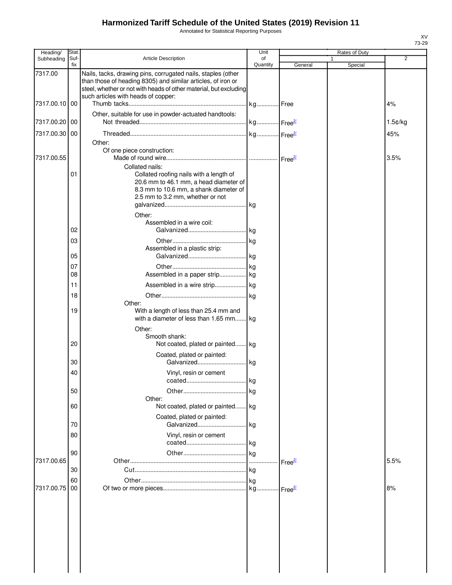Annotated for Statistical Reporting Purposes

| Heading/      | Stat.       |                                                                                                                                                                                                   | Unit           |                    |              | Rates of Duty |            |
|---------------|-------------|---------------------------------------------------------------------------------------------------------------------------------------------------------------------------------------------------|----------------|--------------------|--------------|---------------|------------|
| Subheading    | Suf-<br>fix | <b>Article Description</b>                                                                                                                                                                        | of<br>Quantity | General            | $\mathbf{1}$ | Special       | 2          |
| 7317.00       |             | Nails, tacks, drawing pins, corrugated nails, staples (other<br>than those of heading 8305) and similar articles, of iron or<br>steel, whether or not with heads of other material, but excluding |                |                    |              |               |            |
| 7317.00.10 00 |             | such articles with heads of copper:                                                                                                                                                               |                |                    |              |               | 4%         |
| 7317.00.20 00 |             | Other, suitable for use in powder-actuated handtools:                                                                                                                                             |                |                    |              |               | $1.5$ ¢/kg |
| 7317.00.30    | 00          |                                                                                                                                                                                                   |                |                    |              |               | 45%        |
|               |             | Other:<br>Of one piece construction:                                                                                                                                                              |                |                    |              |               |            |
| 7317.00.55    |             | Collated nails:                                                                                                                                                                                   |                |                    |              |               | 3.5%       |
|               | 01          | Collated roofing nails with a length of<br>20.6 mm to 46.1 mm, a head diameter of<br>8.3 mm to 10.6 mm, a shank diameter of<br>2.5 mm to 3.2 mm, whether or not<br>Other:                         |                |                    |              |               |            |
|               |             | Assembled in a wire coil:                                                                                                                                                                         |                |                    |              |               |            |
|               | 02          |                                                                                                                                                                                                   |                |                    |              |               |            |
|               | 03          |                                                                                                                                                                                                   |                |                    |              |               |            |
|               |             | Assembled in a plastic strip:                                                                                                                                                                     |                |                    |              |               |            |
|               | 05          |                                                                                                                                                                                                   |                |                    |              |               |            |
|               | 07          |                                                                                                                                                                                                   |                |                    |              |               |            |
|               | 08          | Assembled in a paper strip kg                                                                                                                                                                     |                |                    |              |               |            |
|               | 11          | Assembled in a wire strip kg                                                                                                                                                                      |                |                    |              |               |            |
|               | 18          |                                                                                                                                                                                                   |                |                    |              |               |            |
|               | 19          | Other:<br>With a length of less than 25.4 mm and<br>with a diameter of less than 1.65 mm kg<br>Other:                                                                                             |                |                    |              |               |            |
|               | 20          | Smooth shank:<br>Not coated, plated or painted kg                                                                                                                                                 |                |                    |              |               |            |
|               | 30          | Coated, plated or painted:<br>Galvanized kg                                                                                                                                                       |                |                    |              |               |            |
|               | 40          | Vinyl, resin or cement                                                                                                                                                                            |                |                    |              |               |            |
|               |             |                                                                                                                                                                                                   | l kg           |                    |              |               |            |
|               | 50          | Other:                                                                                                                                                                                            |                |                    |              |               |            |
|               | 60          | Not coated, plated or painted kg                                                                                                                                                                  |                |                    |              |               |            |
|               | 70          | Coated, plated or painted:<br>Galvanized                                                                                                                                                          | l kg           |                    |              |               |            |
|               | 80          | Vinyl, resin or cement                                                                                                                                                                            |                |                    |              |               |            |
|               | 90          |                                                                                                                                                                                                   |                |                    |              |               |            |
| 7317.00.65    |             |                                                                                                                                                                                                   |                | Free $\frac{2}{2}$ |              |               | 5.5%       |
|               | 30          |                                                                                                                                                                                                   |                |                    |              |               |            |
|               | 60          |                                                                                                                                                                                                   |                |                    |              |               |            |
| 7317.00.75    | 00          |                                                                                                                                                                                                   |                | Free <sup>27</sup> |              |               | 8%         |
|               |             |                                                                                                                                                                                                   |                |                    |              |               |            |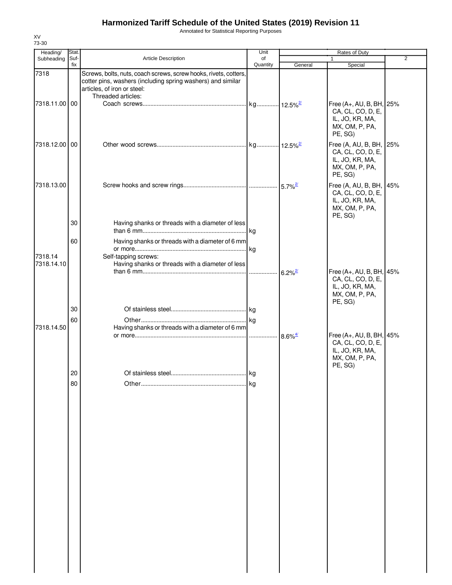Annotated for Statistical Reporting Purposes

| Heading/      | Stat.       |                                                                                                                                                                                      | Unit           |                       | Rates of Duty                                                                                 |                |
|---------------|-------------|--------------------------------------------------------------------------------------------------------------------------------------------------------------------------------------|----------------|-----------------------|-----------------------------------------------------------------------------------------------|----------------|
| Subheading    | Suf-<br>fix | <b>Article Description</b>                                                                                                                                                           | of<br>Quantity | General               | $\mathbf{1}$<br>Special                                                                       | $\overline{2}$ |
| 7318          |             | Screws, bolts, nuts, coach screws, screw hooks, rivets, cotters,<br>cotter pins, washers (including spring washers) and similar<br>articles, of iron or steel:<br>Threaded articles: |                |                       |                                                                                               |                |
| 7318.11.00 00 |             |                                                                                                                                                                                      |                |                       | Free (A+, AU, B, BH, 25%<br>CA, CL, CO, D, E,<br>IL, JO, KR, MA,<br>MX, OM, P, PA,<br>PE, SG) |                |
| 7318.12.00 00 |             |                                                                                                                                                                                      |                |                       | Free (A, AU, B, BH, 25%<br>CA, CL, CO, D, E,<br>IL, JO, KR, MA,<br>MX, OM, P, PA,<br>PE, SG)  |                |
| 7318.13.00    |             |                                                                                                                                                                                      |                |                       | Free (A, AU, B, BH, 45%<br>CA, CL, CO, D, E,<br>IL, JO, KR, MA,<br>MX, OM, P, PA,<br>PE, SG)  |                |
|               | 30          | Having shanks or threads with a diameter of less                                                                                                                                     |                |                       |                                                                                               |                |
| 7318.14       | 60          | Having shanks or threads with a diameter of 6 mm<br>Self-tapping screws:                                                                                                             |                |                       |                                                                                               |                |
| 7318.14.10    |             | Having shanks or threads with a diameter of less                                                                                                                                     |                | $6.2\%$ <sup>2/</sup> | Free (A+, AU, B, BH, 45%<br>CA, CL, CO, D, E,<br>IL, JO, KR, MA,<br>MX, OM, P, PA,<br>PE, SG) |                |
|               | 30          |                                                                                                                                                                                      |                |                       |                                                                                               |                |
|               | 60          |                                                                                                                                                                                      |                |                       |                                                                                               |                |
| 7318.14.50    |             | Having shanks or threads with a diameter of 6 mm                                                                                                                                     |                | $8.6\%$ <sup>4/</sup> | Free (A+, AU, B, BH, 45%<br>CA, CL, CO, D, E,<br>IL, JO, KR, MA,<br>MX, OM, P, PA,<br>PE, SG) |                |
|               | 20          |                                                                                                                                                                                      |                |                       |                                                                                               |                |
|               | 80          |                                                                                                                                                                                      | kg             |                       |                                                                                               |                |
|               |             |                                                                                                                                                                                      |                |                       |                                                                                               |                |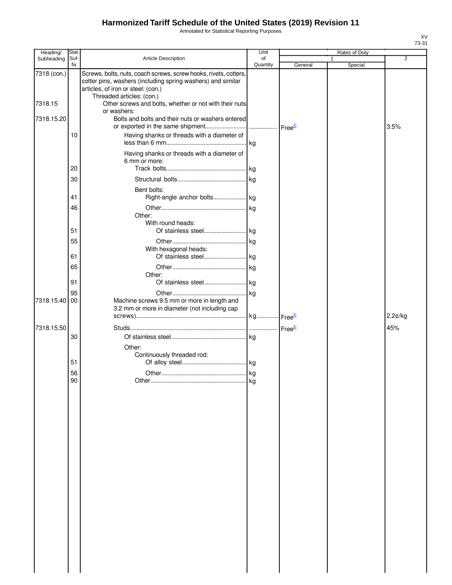Annotated for Statistical Reporting Purposes

| Heading/    | Stat.       |                                                                                                                                                                                                    | Unit           |         |   | Rates of Duty |                |
|-------------|-------------|----------------------------------------------------------------------------------------------------------------------------------------------------------------------------------------------------|----------------|---------|---|---------------|----------------|
| Subheading  | Suf-<br>fix | <b>Article Description</b>                                                                                                                                                                         | of<br>Quantity | General | 1 | Special       | $\overline{2}$ |
| 7318 (con.) |             | Screws, bolts, nuts, coach screws, screw hooks, rivets, cotters,<br>cotter pins, washers (including spring washers) and similar<br>articles, of iron or steel: (con.)<br>Threaded articles: (con.) |                |         |   |               |                |
| 7318.15     |             | Other screws and bolts, whether or not with their nuts<br>or washers:                                                                                                                              |                |         |   |               |                |
| 7318.15.20  |             | Bolts and bolts and their nuts or washers entered                                                                                                                                                  |                |         |   |               | 3.5%           |
|             | 10          | Having shanks or threads with a diameter of                                                                                                                                                        |                |         |   |               |                |
|             | 20          | Having shanks or threads with a diameter of<br>6 mm or more:                                                                                                                                       |                |         |   |               |                |
|             | 30          |                                                                                                                                                                                                    |                |         |   |               |                |
|             | 41          | Bent bolts:                                                                                                                                                                                        |                |         |   |               |                |
|             | 46          |                                                                                                                                                                                                    |                |         |   |               |                |
|             |             | Other:<br>With round heads:                                                                                                                                                                        |                |         |   |               |                |
|             | 51          |                                                                                                                                                                                                    |                |         |   |               |                |
|             | 55          | With hexagonal heads:                                                                                                                                                                              |                |         |   |               |                |
|             | 61          |                                                                                                                                                                                                    |                |         |   |               |                |
|             | 65<br>91    | Other:                                                                                                                                                                                             |                |         |   |               |                |
|             | 95          |                                                                                                                                                                                                    |                |         |   |               |                |
| 7318.15.40  | 00          | Machine screws 9.5 mm or more in length and<br>3.2 mm or more in diameter (not including cap                                                                                                       |                |         |   |               |                |
|             |             |                                                                                                                                                                                                    |                |         |   |               | 2.2¢/kg        |
| 7318.15.50  |             |                                                                                                                                                                                                    |                |         |   |               | 45%            |
|             | 30          |                                                                                                                                                                                                    |                |         |   |               |                |
|             | 51          | Other:<br>Continuously threaded rod:                                                                                                                                                               |                |         |   |               |                |
|             |             |                                                                                                                                                                                                    |                |         |   |               |                |
|             | 56<br>90    |                                                                                                                                                                                                    |                |         |   |               |                |
|             |             |                                                                                                                                                                                                    | . kg           |         |   |               |                |
|             |             |                                                                                                                                                                                                    |                |         |   |               |                |
|             |             |                                                                                                                                                                                                    |                |         |   |               |                |
|             |             |                                                                                                                                                                                                    |                |         |   |               |                |
|             |             |                                                                                                                                                                                                    |                |         |   |               |                |
|             |             |                                                                                                                                                                                                    |                |         |   |               |                |
|             |             |                                                                                                                                                                                                    |                |         |   |               |                |
|             |             |                                                                                                                                                                                                    |                |         |   |               |                |
|             |             |                                                                                                                                                                                                    |                |         |   |               |                |
|             |             |                                                                                                                                                                                                    |                |         |   |               |                |
|             |             |                                                                                                                                                                                                    |                |         |   |               |                |
|             |             |                                                                                                                                                                                                    |                |         |   |               |                |
|             |             |                                                                                                                                                                                                    |                |         |   |               |                |
|             |             |                                                                                                                                                                                                    |                |         |   |               |                |
|             |             |                                                                                                                                                                                                    |                |         |   |               |                |
|             |             |                                                                                                                                                                                                    |                |         |   |               |                |
|             |             |                                                                                                                                                                                                    |                |         |   |               |                |
|             |             |                                                                                                                                                                                                    |                |         |   |               |                |
|             |             |                                                                                                                                                                                                    |                |         |   |               |                |
|             |             |                                                                                                                                                                                                    |                |         |   |               |                |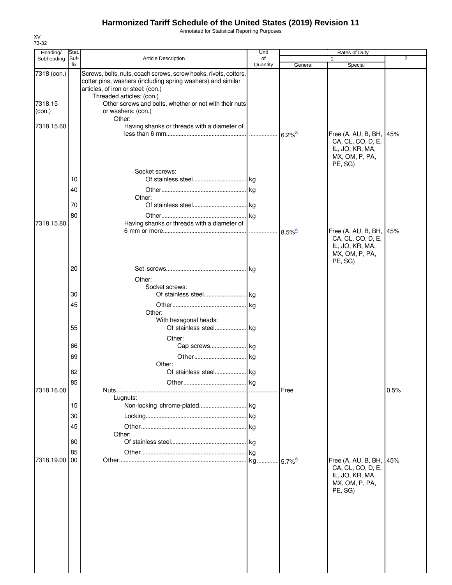Annotated for Statistical Reporting Purposes

| Heading/          | Stat.       |                                                                                                                                                                                                    | Unit           |                        | Rates of Duty                                                                     |                |
|-------------------|-------------|----------------------------------------------------------------------------------------------------------------------------------------------------------------------------------------------------|----------------|------------------------|-----------------------------------------------------------------------------------|----------------|
| Subheading        | Suf-<br>fix | Article Description                                                                                                                                                                                | of<br>Quantity | General                | 1<br>Special                                                                      | $\overline{2}$ |
| 7318 (con.)       |             | Screws, bolts, nuts, coach screws, screw hooks, rivets, cotters,<br>cotter pins, washers (including spring washers) and similar<br>articles, of iron or steel: (con.)<br>Threaded articles: (con.) |                |                        |                                                                                   |                |
| 7318.15<br>(con.) |             | Other screws and bolts, whether or not with their nuts<br>or washers: (con.)<br>Other:                                                                                                             |                |                        |                                                                                   |                |
| 7318.15.60        |             | Having shanks or threads with a diameter of                                                                                                                                                        |                | $6.2\%$ <sup>2/</sup>  | Free (A, AU, B, BH, 45%<br>CA, CL, CO, D, E,                                      |                |
|                   | 10<br>40    | Socket screws:<br>Other:                                                                                                                                                                           | kg             |                        | IL, JO, KR, MA,<br>MX, OM, P, PA,<br>PE, SG)                                      |                |
|                   | 70          |                                                                                                                                                                                                    |                |                        |                                                                                   |                |
|                   | 80          |                                                                                                                                                                                                    | kg             |                        |                                                                                   |                |
| 7318.15.80        |             | Having shanks or threads with a diameter of                                                                                                                                                        |                | $8.5\%$ <sup>2/</sup>  | Free (A, AU, B, BH, 45%<br>CA, CL, CO, D, E,<br>IL, JO, KR, MA,<br>MX, OM, P, PA, |                |
|                   | 20          |                                                                                                                                                                                                    |                |                        | PE, SG)                                                                           |                |
|                   |             | Other:<br>Socket screws:                                                                                                                                                                           |                |                        |                                                                                   |                |
|                   | 30          |                                                                                                                                                                                                    |                |                        |                                                                                   |                |
|                   | 45          |                                                                                                                                                                                                    |                |                        |                                                                                   |                |
|                   | 55          | Other:<br>With hexagonal heads:                                                                                                                                                                    |                |                        |                                                                                   |                |
|                   |             | Other:                                                                                                                                                                                             |                |                        |                                                                                   |                |
|                   | 66          | Cap screws kg                                                                                                                                                                                      |                |                        |                                                                                   |                |
|                   | 69          |                                                                                                                                                                                                    |                |                        |                                                                                   |                |
|                   | 82          | Other:                                                                                                                                                                                             |                |                        |                                                                                   |                |
|                   | 85          |                                                                                                                                                                                                    | kg             |                        |                                                                                   |                |
| 7318.16.00        |             | Lugnuts:                                                                                                                                                                                           |                | Free                   |                                                                                   | 0.5%           |
|                   | 15          |                                                                                                                                                                                                    |                |                        |                                                                                   |                |
|                   | 30          |                                                                                                                                                                                                    |                |                        |                                                                                   |                |
|                   | 45          |                                                                                                                                                                                                    |                |                        |                                                                                   |                |
|                   |             | Other:                                                                                                                                                                                             |                |                        |                                                                                   |                |
|                   | 60          |                                                                                                                                                                                                    | kg             |                        |                                                                                   |                |
|                   | 85          |                                                                                                                                                                                                    | kg             |                        |                                                                                   |                |
| 7318.19.00        | 00          |                                                                                                                                                                                                    | kg             | $-5.7\%$ <sup>2/</sup> | Free (A, AU, B, BH, 45%                                                           |                |
|                   |             |                                                                                                                                                                                                    |                |                        | CA, CL, CO, D, E,<br>IL, JO, KR, MA,<br>MX, OM, P, PA,<br>PE, SG)                 |                |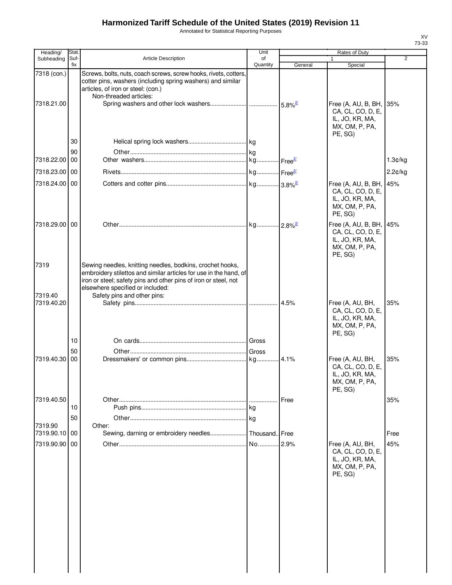Annotated for Statistical Reporting Purposes

| Heading/                  | Stat.          |                                                                                                                                                                                                                                       | Unit           |         | Rates of Duty                                                                                |                |
|---------------------------|----------------|---------------------------------------------------------------------------------------------------------------------------------------------------------------------------------------------------------------------------------------|----------------|---------|----------------------------------------------------------------------------------------------|----------------|
| Subheading                | Suf-<br>fix    | <b>Article Description</b>                                                                                                                                                                                                            | of<br>Quantity | General | 1<br>Special                                                                                 | $\overline{2}$ |
| 7318 (con.)<br>7318.21.00 |                | Screws, bolts, nuts, coach screws, screw hooks, rivets, cotters,<br>cotter pins, washers (including spring washers) and similar<br>articles, of iron or steel: (con.)<br>Non-threaded articles:                                       |                |         | Free (A, AU, B, BH, 35%<br>CA, CL, CO, D, E,<br>IL, JO, KR, MA,                              |                |
| 7318.22.00                | 30<br>90<br>00 |                                                                                                                                                                                                                                       |                |         | MX, OM, P, PA,<br>PE, SG)                                                                    |                |
|                           |                |                                                                                                                                                                                                                                       |                |         |                                                                                              | 1.3¢/kg        |
| 7318.23.00 00             |                |                                                                                                                                                                                                                                       |                |         |                                                                                              | 2.2¢/kg        |
| 7318.24.00 00             |                |                                                                                                                                                                                                                                       |                |         | Free (A, AU, B, BH, 45%<br>CA, CL, CO, D, E,<br>IL, JO, KR, MA,<br>MX, OM, P, PA,<br>PE, SG) |                |
| 7318.29.00 00             |                |                                                                                                                                                                                                                                       |                |         | Free (A, AU, B, BH, 45%<br>CA, CL, CO, D, E,<br>IL, JO, KR, MA,<br>MX, OM, P, PA,<br>PE, SG) |                |
| 7319<br>7319.40           |                | Sewing needles, knitting needles, bodkins, crochet hooks,<br>embroidery stilettos and similar articles for use in the hand, of<br>iron or steel; safety pins and other pins of iron or steel, not<br>elsewhere specified or included: |                |         |                                                                                              |                |
| 7319.40.20                |                | Safety pins and other pins:                                                                                                                                                                                                           |                | 4.5%    | Free (A, AU, BH,<br>CA, CL, CO, D, E,<br>IL, JO, KR, MA,<br>MX, OM, P, PA,<br>PE, SG)        | 35%            |
|                           | 10             |                                                                                                                                                                                                                                       |                |         |                                                                                              |                |
|                           | 50             |                                                                                                                                                                                                                                       | Gross          |         |                                                                                              |                |
| 7319.40.30                | 00             |                                                                                                                                                                                                                                       |                |         | Free (A, AU, BH,<br>CA, CL, CO, D, E,<br>IL, JO, KR, MA,<br>MX, OM, P, PA,<br>PE, SG)        | 35%            |
| 7319.40.50                |                |                                                                                                                                                                                                                                       |                | Free    |                                                                                              | 35%            |
|                           | 10             |                                                                                                                                                                                                                                       |                |         |                                                                                              |                |
|                           | 50             |                                                                                                                                                                                                                                       | kg             |         |                                                                                              |                |
| 7319.90<br>7319.90.10 00  |                | Other:<br>Sewing, darning or embroidery needles                                                                                                                                                                                       | Thousand. Free |         |                                                                                              | Free           |
| 7319.90.90                | 00             |                                                                                                                                                                                                                                       | No             | .2.9%   | Free (A, AU, BH,<br>CA, CL, CO, D, E,<br>IL, JO, KR, MA,<br>MX, OM, P, PA,<br>PE, SG)        | 45%            |
|                           |                |                                                                                                                                                                                                                                       |                |         |                                                                                              |                |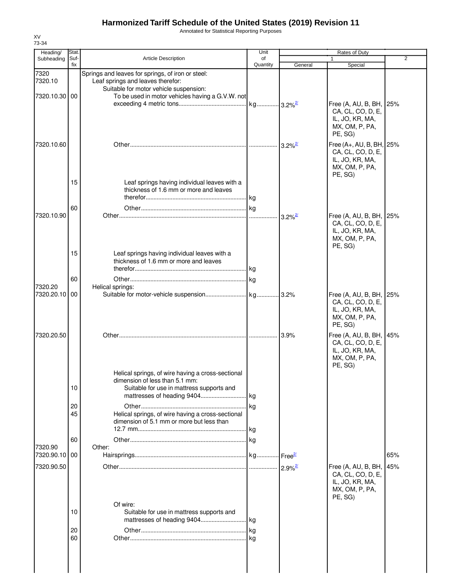Annotated for Statistical Reporting Purposes

| Heading/                 | Stat.       |                                                                                                                                                                | Unit                    |                       | Rates of Duty                                                                                 |                |
|--------------------------|-------------|----------------------------------------------------------------------------------------------------------------------------------------------------------------|-------------------------|-----------------------|-----------------------------------------------------------------------------------------------|----------------|
| Subheading               | Suf-<br>fix | <b>Article Description</b>                                                                                                                                     | of<br>Quantity          | General               | Special                                                                                       | $\overline{2}$ |
| 7320<br>7320.10          |             | Springs and leaves for springs, of iron or steel:<br>Leaf springs and leaves therefor:<br>Suitable for motor vehicle suspension:                               |                         |                       |                                                                                               |                |
| 7320.10.30 00            |             | To be used in motor vehicles having a G.V.W. not                                                                                                               | . kg 3.2% <sup>2/</sup> |                       | Free (A, AU, B, BH, 25%<br>CA, CL, CO, D, E,<br>IL, JO, KR, MA,<br>MX, OM, P, PA,<br>PE, SG)  |                |
| 7320.10.60               |             |                                                                                                                                                                |                         | $3.2\%$ <sup>2/</sup> | Free (A+, AU, B, BH, 25%<br>CA, CL, CO, D, E,<br>IL, JO, KR, MA,<br>MX, OM, P, PA,<br>PE, SG) |                |
|                          | 15          | Leaf springs having individual leaves with a<br>thickness of 1.6 mm or more and leaves                                                                         |                         |                       |                                                                                               |                |
| 7320.10.90               | 60          |                                                                                                                                                                |                         | $3.2\%$ <sup>2/</sup> | Free (A, AU, B, BH, 25%<br>CA, CL, CO, D, E,<br>IL, JO, KR, MA,<br>MX, OM, P, PA,<br>PE, SG)  |                |
|                          | 15          | Leaf springs having individual leaves with a<br>thickness of 1.6 mm or more and leaves                                                                         |                         |                       |                                                                                               |                |
| 7320.20                  | 60          | Helical springs:                                                                                                                                               |                         |                       |                                                                                               |                |
| 7320.20.10 00            |             |                                                                                                                                                                |                         |                       | Free (A, AU, B, BH, 25%<br>CA, CL, CO, D, E,<br>IL, JO, KR, MA,<br>MX, OM, P, PA,<br>PE, SG)  |                |
| 7320.20.50               |             |                                                                                                                                                                |                         | 3.9%                  | Free (A, AU, B, BH, 45%<br>CA, CL, CO, D, E,<br>IL, JO, KR, MA,<br>MX, OM, P, PA,<br>PE, SG)  |                |
|                          | 10          | Helical springs, of wire having a cross-sectional<br>dimension of less than 5.1 mm:<br>Suitable for use in mattress supports and<br>mattresses of heading 9404 | kg                      |                       |                                                                                               |                |
|                          | 20<br>45    | Helical springs, of wire having a cross-sectional<br>dimension of 5.1 mm or more but less than                                                                 | kg<br>kg                |                       |                                                                                               |                |
|                          | 60          |                                                                                                                                                                | .lkg                    |                       |                                                                                               |                |
| 7320.90<br>7320.90.10 00 |             | Other:                                                                                                                                                         |                         |                       |                                                                                               | 65%            |
| 7320.90.50               |             |                                                                                                                                                                |                         | $2.9\%$ <sup>2/</sup> | Free (A, AU, B, BH, 45%<br>CA, CL, CO, D, E,<br>IL, JO, KR, MA,<br>MX, OM, P, PA,             |                |
|                          | 10          | Of wire:<br>Suitable for use in mattress supports and                                                                                                          |                         |                       | PE, SG)                                                                                       |                |
|                          | 20<br>60    |                                                                                                                                                                | kg                      |                       |                                                                                               |                |
|                          |             |                                                                                                                                                                |                         |                       |                                                                                               |                |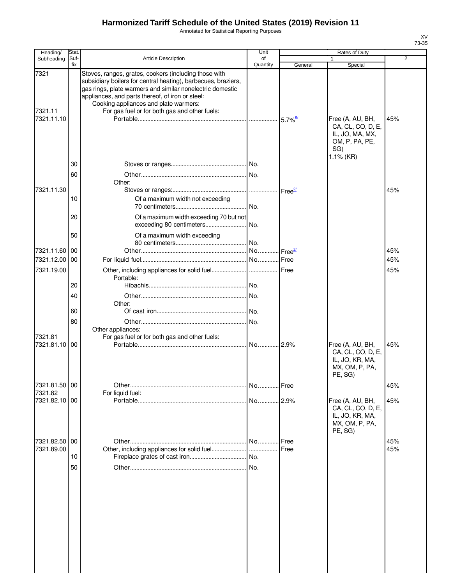Annotated for Statistical Reporting Purposes

| Heading/                    | Stat.       |                                                                                                                                                                                                                                                                                                                                   | Unit           |         | Rates of Duty                                                                                  |                |
|-----------------------------|-------------|-----------------------------------------------------------------------------------------------------------------------------------------------------------------------------------------------------------------------------------------------------------------------------------------------------------------------------------|----------------|---------|------------------------------------------------------------------------------------------------|----------------|
| Subheading                  | Suf-<br>fix | <b>Article Description</b>                                                                                                                                                                                                                                                                                                        | of<br>Quantity | General | Special                                                                                        | $\overline{2}$ |
| 7321<br>7321.11             |             | Stoves, ranges, grates, cookers (including those with<br>subsidiary boilers for central heating), barbecues, braziers,<br>gas rings, plate warmers and similar nonelectric domestic<br>appliances, and parts thereof, of iron or steel:<br>Cooking appliances and plate warmers:<br>For gas fuel or for both gas and other fuels: |                |         |                                                                                                |                |
| 7321.11.10                  |             |                                                                                                                                                                                                                                                                                                                                   |                |         | Free (A, AU, BH,<br>CA, CL, CO, D, E,<br>IL, JO, MA, MX,<br>OM, P, PA, PE,<br>SG)<br>1.1% (KR) | 45%            |
|                             | 30<br>60    | Other:                                                                                                                                                                                                                                                                                                                            |                |         |                                                                                                |                |
| 7321.11.30                  |             |                                                                                                                                                                                                                                                                                                                                   |                |         |                                                                                                | 45%            |
|                             | 10          | Of a maximum width not exceeding                                                                                                                                                                                                                                                                                                  | .I No.         |         |                                                                                                |                |
|                             | 20          | Of a maximum width exceeding 70 but not<br>exceeding 80 centimeters                                                                                                                                                                                                                                                               | No.            |         |                                                                                                |                |
|                             | 50          | Of a maximum width exceeding                                                                                                                                                                                                                                                                                                      | .lNo.          |         |                                                                                                |                |
| 7321.11.60 00               |             |                                                                                                                                                                                                                                                                                                                                   |                |         |                                                                                                | 45%            |
| 7321.12.00 00<br>7321.19.00 |             |                                                                                                                                                                                                                                                                                                                                   |                |         |                                                                                                | 45%<br>45%     |
|                             |             | Portable:                                                                                                                                                                                                                                                                                                                         |                |         |                                                                                                |                |
|                             | 20          |                                                                                                                                                                                                                                                                                                                                   |                |         |                                                                                                |                |
|                             | 40          | Other:                                                                                                                                                                                                                                                                                                                            |                |         |                                                                                                |                |
|                             | 60          |                                                                                                                                                                                                                                                                                                                                   | .l No.         |         |                                                                                                |                |
|                             | 80          | Other appliances:                                                                                                                                                                                                                                                                                                                 | No.            |         |                                                                                                |                |
| 7321.81<br>7321.81.10 00    |             | For gas fuel or for both gas and other fuels:                                                                                                                                                                                                                                                                                     |                |         | Free (A, AU, BH,<br>CA, CL, CO, D, E,<br>IL, JO, KR, MA,<br>MX, OM, P, PA,<br>PE, SG)          | 45%            |
| 7321.81.50 00               |             |                                                                                                                                                                                                                                                                                                                                   | No Free        |         |                                                                                                | 45%            |
| 7321.82<br>7321.82.10 00    |             | For liquid fuel:                                                                                                                                                                                                                                                                                                                  | No 2.9%        |         | Free (A, AU, BH,<br>CA, CL, CO, D, E,<br>IL, JO, KR, MA,<br>MX, OM, P, PA,                     | 45%            |
| 7321.82.50 00               |             |                                                                                                                                                                                                                                                                                                                                   | . No.          | Free    | PE, SG)                                                                                        | 45%            |
| 7321.89.00                  |             |                                                                                                                                                                                                                                                                                                                                   |                | Free    |                                                                                                | 45%            |
|                             | 10          |                                                                                                                                                                                                                                                                                                                                   |                |         |                                                                                                |                |
|                             | 50          |                                                                                                                                                                                                                                                                                                                                   | .I No.         |         |                                                                                                |                |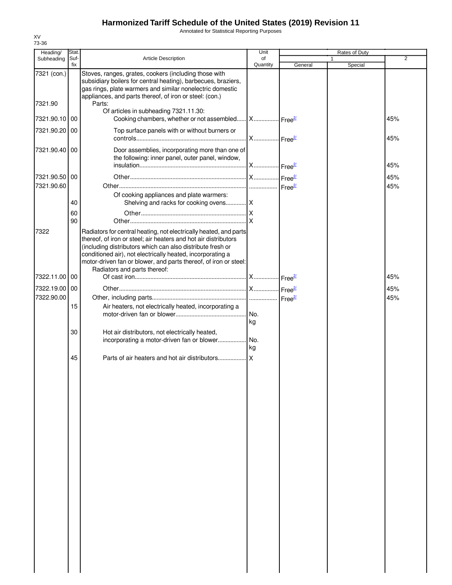Annotated for Statistical Reporting Purposes

| Heading/      | Stat.       |                                                                                                                                                                                                                                                                                                                                                                      | Unit           |         | Rates of Duty |     |
|---------------|-------------|----------------------------------------------------------------------------------------------------------------------------------------------------------------------------------------------------------------------------------------------------------------------------------------------------------------------------------------------------------------------|----------------|---------|---------------|-----|
| Subheading    | Suf-<br>fix | <b>Article Description</b>                                                                                                                                                                                                                                                                                                                                           | of<br>Quantity | General | Special       | 2   |
| 7321 (con.)   |             | Stoves, ranges, grates, cookers (including those with<br>subsidiary boilers for central heating), barbecues, braziers,<br>gas rings, plate warmers and similar nonelectric domestic<br>appliances, and parts thereof, of iron or steel: (con.)                                                                                                                       |                |         |               |     |
| 7321.90       |             | Parts:<br>Of articles in subheading 7321.11.30:                                                                                                                                                                                                                                                                                                                      |                |         |               |     |
| 7321.90.10 00 |             | Cooking chambers, whether or not assembled X Free <sup>21</sup>                                                                                                                                                                                                                                                                                                      |                |         |               | 45% |
| 7321.90.20 00 |             | Top surface panels with or without burners or                                                                                                                                                                                                                                                                                                                        |                |         |               | 45% |
| 7321.90.40 00 |             | Door assemblies, incorporating more than one of<br>the following: inner panel, outer panel, window,                                                                                                                                                                                                                                                                  |                |         |               | 45% |
| 7321.90.50 00 |             |                                                                                                                                                                                                                                                                                                                                                                      |                |         |               | 45% |
| 7321.90.60    |             |                                                                                                                                                                                                                                                                                                                                                                      |                |         |               | 45% |
|               | 40          | Of cooking appliances and plate warmers:                                                                                                                                                                                                                                                                                                                             |                |         |               |     |
|               | 60<br>90    |                                                                                                                                                                                                                                                                                                                                                                      |                |         |               |     |
| 7322          |             | Radiators for central heating, not electrically heated, and parts<br>thereof, of iron or steel; air heaters and hot air distributors<br>(including distributors which can also distribute fresh or<br>conditioned air), not electrically heated, incorporating a<br>motor-driven fan or blower, and parts thereof, of iron or steel:<br>Radiators and parts thereof: |                |         |               |     |
| 7322.11.00 00 |             |                                                                                                                                                                                                                                                                                                                                                                      |                |         |               | 45% |
| 7322.19.00 00 |             |                                                                                                                                                                                                                                                                                                                                                                      |                |         |               | 45% |
| 7322.90.00    |             |                                                                                                                                                                                                                                                                                                                                                                      |                |         |               | 45% |
|               | 15          | Air heaters, not electrically heated, incorporating a                                                                                                                                                                                                                                                                                                                | kg             |         |               |     |
|               | 30          | Hot air distributors, not electrically heated,<br>incorporating a motor-driven fan or blower No.                                                                                                                                                                                                                                                                     | kg             |         |               |     |
|               | 45          |                                                                                                                                                                                                                                                                                                                                                                      |                |         |               |     |
|               |             |                                                                                                                                                                                                                                                                                                                                                                      |                |         |               |     |
|               |             |                                                                                                                                                                                                                                                                                                                                                                      |                |         |               |     |
|               |             |                                                                                                                                                                                                                                                                                                                                                                      |                |         |               |     |
|               |             |                                                                                                                                                                                                                                                                                                                                                                      |                |         |               |     |
|               |             |                                                                                                                                                                                                                                                                                                                                                                      |                |         |               |     |
|               |             |                                                                                                                                                                                                                                                                                                                                                                      |                |         |               |     |
|               |             |                                                                                                                                                                                                                                                                                                                                                                      |                |         |               |     |
|               |             |                                                                                                                                                                                                                                                                                                                                                                      |                |         |               |     |
|               |             |                                                                                                                                                                                                                                                                                                                                                                      |                |         |               |     |
|               |             |                                                                                                                                                                                                                                                                                                                                                                      |                |         |               |     |
|               |             |                                                                                                                                                                                                                                                                                                                                                                      |                |         |               |     |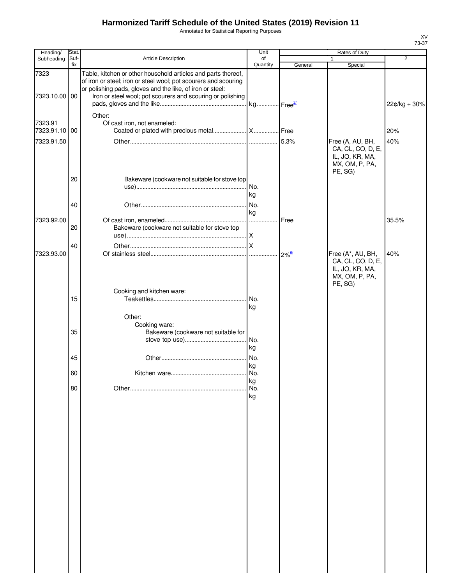Annotated for Statistical Reporting Purposes

| Heading/                 | Stat.       |                                                                                                                                                                                                                                                             | Unit            | <b>Rates of Duty</b> |                                                                                        |              |
|--------------------------|-------------|-------------------------------------------------------------------------------------------------------------------------------------------------------------------------------------------------------------------------------------------------------------|-----------------|----------------------|----------------------------------------------------------------------------------------|--------------|
| Subheading               | Suf-<br>fix | Article Description                                                                                                                                                                                                                                         | of<br>Quantity  | General              | $\mathbf{1}$<br>Special                                                                | 2            |
| 7323<br>7323.10.00 00    |             | Table, kitchen or other household articles and parts thereof,<br>of iron or steel; iron or steel wool; pot scourers and scouring<br>or polishing pads, gloves and the like, of iron or steel:<br>Iron or steel wool; pot scourers and scouring or polishing |                 |                      |                                                                                        |              |
|                          |             | Other:                                                                                                                                                                                                                                                      |                 |                      |                                                                                        | 22¢/kg + 30% |
| 7323.91<br>7323.91.10 00 |             | Of cast iron, not enameled:                                                                                                                                                                                                                                 |                 |                      |                                                                                        | 20%          |
| 7323.91.50               |             |                                                                                                                                                                                                                                                             |                 |                      | Free (A, AU, BH,<br>CA, CL, CO, D, E,<br>IL, JO, KR, MA,<br>MX, OM, P, PA,<br>PE, SG)  | 40%          |
|                          | 20          | Bakeware (cookware not suitable for stove top                                                                                                                                                                                                               |                 |                      |                                                                                        |              |
|                          | 40          |                                                                                                                                                                                                                                                             | kg<br>No.<br>kg |                      |                                                                                        |              |
| 7323.92.00               | 20          | Bakeware (cookware not suitable for stove top                                                                                                                                                                                                               | .               | Free                 |                                                                                        | 35.5%        |
|                          | 40          |                                                                                                                                                                                                                                                             |                 |                      |                                                                                        |              |
| 7323.93.00               |             |                                                                                                                                                                                                                                                             |                 | $2\%$ <sup>6/</sup>  | Free (A*, AU, BH,<br>CA, CL, CO, D, E,<br>IL, JO, KR, MA,<br>MX, OM, P, PA,<br>PE, SG) | 40%          |
|                          | 15          | Cooking and kitchen ware:                                                                                                                                                                                                                                   | kg              |                      |                                                                                        |              |
|                          | 35          | Other:<br>Cooking ware:<br>Bakeware (cookware not suitable for                                                                                                                                                                                              |                 |                      |                                                                                        |              |
|                          | 45          |                                                                                                                                                                                                                                                             | kg              |                      |                                                                                        |              |
|                          | 60          |                                                                                                                                                                                                                                                             | kg<br>kg        |                      |                                                                                        |              |
|                          | 80          |                                                                                                                                                                                                                                                             | No.<br>kg       |                      |                                                                                        |              |
|                          |             |                                                                                                                                                                                                                                                             |                 |                      |                                                                                        |              |
|                          |             |                                                                                                                                                                                                                                                             |                 |                      |                                                                                        |              |
|                          |             |                                                                                                                                                                                                                                                             |                 |                      |                                                                                        |              |
|                          |             |                                                                                                                                                                                                                                                             |                 |                      |                                                                                        |              |
|                          |             |                                                                                                                                                                                                                                                             |                 |                      |                                                                                        |              |
|                          |             |                                                                                                                                                                                                                                                             |                 |                      |                                                                                        |              |
|                          |             |                                                                                                                                                                                                                                                             |                 |                      |                                                                                        |              |
|                          |             |                                                                                                                                                                                                                                                             |                 |                      |                                                                                        |              |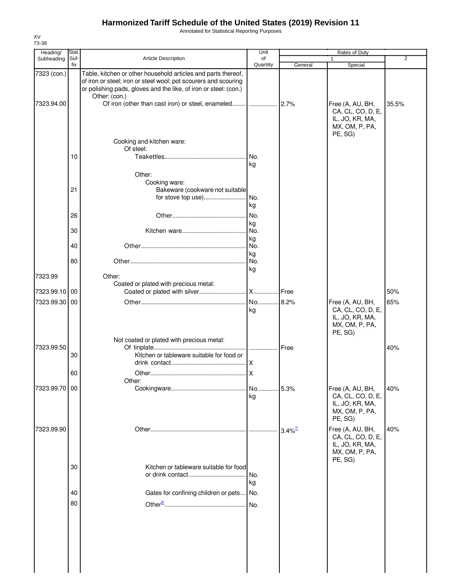Annotated for Statistical Reporting Purposes

|               | Stat.       |                                                                                                                                                                                                                       | Unit            |                       | $\overline{2}$                                                                        |       |
|---------------|-------------|-----------------------------------------------------------------------------------------------------------------------------------------------------------------------------------------------------------------------|-----------------|-----------------------|---------------------------------------------------------------------------------------|-------|
| Subheading    | Suf-<br>fix | <b>Article Description</b>                                                                                                                                                                                            | of<br>Quantity  | General               | Special                                                                               |       |
| 7323 (con.)   |             | Table, kitchen or other household articles and parts thereof,<br>of iron or steel; iron or steel wool; pot scourers and scouring<br>or polishing pads, gloves and the like, of iron or steel: (con.)<br>Other: (con.) |                 |                       |                                                                                       |       |
| 7323.94.00    |             |                                                                                                                                                                                                                       |                 |                       | Free (A, AU, BH,<br>CA, CL, CO, D, E,<br>IL, JO, KR, MA,<br>MX, OM, P, PA,<br>PE, SG) | 35.5% |
|               |             | Cooking and kitchen ware:<br>Of steel:                                                                                                                                                                                |                 |                       |                                                                                       |       |
|               | 10          |                                                                                                                                                                                                                       | No.<br>kg       |                       |                                                                                       |       |
|               |             | Other:<br>Cooking ware:                                                                                                                                                                                               |                 |                       |                                                                                       |       |
|               | 21          | Bakeware (cookware not suitable<br>for stove top use)                                                                                                                                                                 | No.             |                       |                                                                                       |       |
|               | 26          |                                                                                                                                                                                                                       | kg<br>No.       |                       |                                                                                       |       |
|               | 30          |                                                                                                                                                                                                                       | kg<br>No.       |                       |                                                                                       |       |
|               | 40          |                                                                                                                                                                                                                       | kg<br>No.       |                       |                                                                                       |       |
|               | 80          |                                                                                                                                                                                                                       | kg<br>No.<br>kg |                       |                                                                                       |       |
| 7323.99       |             | Other:<br>Coated or plated with precious metal:                                                                                                                                                                       |                 |                       |                                                                                       |       |
| 7323.99.10 00 |             |                                                                                                                                                                                                                       |                 | Free                  |                                                                                       | 50%   |
| 7323.99.30 00 |             |                                                                                                                                                                                                                       | No 8.2%<br>kg   |                       | Free (A, AU, BH,<br>CA, CL, CO, D, E,<br>IL, JO, KR, MA,<br>MX, OM, P, PA,<br>PE, SG) | 65%   |
| 7323.99.50    | 30          | Not coated or plated with precious metal:<br>Kitchen or tableware suitable for food or                                                                                                                                | I  I Free       |                       |                                                                                       | 40%   |
|               | 60          |                                                                                                                                                                                                                       | .IX<br>X        |                       |                                                                                       |       |
| 7323.99.70 00 |             | Other:                                                                                                                                                                                                                | No 5.3%         |                       | Free (A, AU, BH,                                                                      | 40%   |
|               |             |                                                                                                                                                                                                                       | kg              |                       | CA, CL, CO, D, E,<br>IL, JO, KR, MA,<br>MX, OM, P, PA,<br>PE, SG)                     |       |
| 7323.99.90    |             |                                                                                                                                                                                                                       |                 | $3.4\%$ <sup>7/</sup> | Free (A, AU, BH,<br>CA, CL, CO, D, E,<br>IL, JO, KR, MA,<br>MX, OM, P, PA,<br>PE, SG) | 40%   |
|               | 30          | Kitchen or tableware suitable for food                                                                                                                                                                                | No.<br>kg       |                       |                                                                                       |       |
|               | 40          | Gates for confining children or pets                                                                                                                                                                                  | No.             |                       |                                                                                       |       |
|               | 80          |                                                                                                                                                                                                                       | No.             |                       |                                                                                       |       |
|               |             |                                                                                                                                                                                                                       |                 |                       |                                                                                       |       |
|               |             |                                                                                                                                                                                                                       |                 |                       |                                                                                       |       |
|               |             |                                                                                                                                                                                                                       |                 |                       |                                                                                       |       |

XV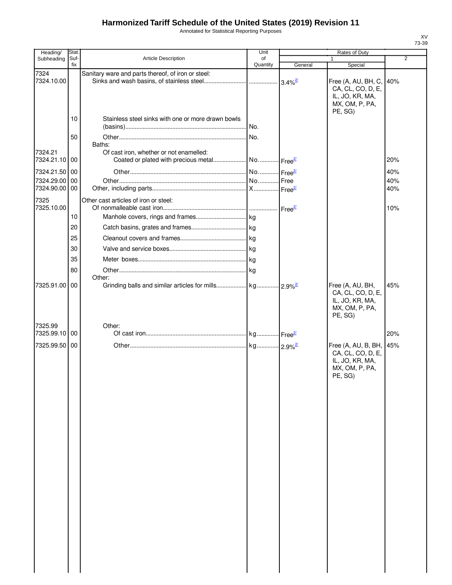Annotated for Statistical Reporting Purposes

| Heading/                 | Stat.       |                                                    | Unit           | Rates of Duty         |                                                                                          |                |
|--------------------------|-------------|----------------------------------------------------|----------------|-----------------------|------------------------------------------------------------------------------------------|----------------|
| Subheading               | Suf-<br>fix | <b>Article Description</b>                         | of<br>Quantity | General               | $\mathbf{1}$<br>Special                                                                  | $\overline{2}$ |
| 7324<br>7324.10.00       |             | Sanitary ware and parts thereof, of iron or steel: |                | $3.4\%$ <sup>2/</sup> | Free (A, AU, BH, C,<br>CA, CL, CO, D, E,<br>IL, JO, KR, MA,<br>MX, OM, P, PA,            | 40%            |
|                          | 10          | Stainless steel sinks with one or more drawn bowls |                |                       | PE, SG)                                                                                  |                |
|                          | 50          | Baths:                                             |                |                       |                                                                                          |                |
| 7324.21<br>7324.21.10 00 |             | Of cast iron, whether or not enamelled:            |                |                       |                                                                                          | 20%            |
| 7324.21.50 00            |             |                                                    |                |                       |                                                                                          | 40%            |
| 7324.29.00<br>7324.90.00 | 00<br>00    |                                                    |                |                       |                                                                                          | 40%<br>40%     |
| 7325<br>7325.10.00       |             | Other cast articles of iron or steel:              |                |                       |                                                                                          | 10%            |
|                          | 10          |                                                    |                |                       |                                                                                          |                |
|                          | 20          |                                                    |                |                       |                                                                                          |                |
|                          | 25          |                                                    |                |                       |                                                                                          |                |
|                          | 30          |                                                    |                |                       |                                                                                          |                |
|                          | 35          |                                                    |                |                       |                                                                                          |                |
|                          | 80          | Other:                                             |                |                       |                                                                                          |                |
| 7325.91.00               | 00          |                                                    |                |                       | Free (A, AU, BH,<br>CA, CL, CO, D, E,<br>IL, JO, KR, MA,<br>MX, OM, P, PA,<br>PE, SG)    | 45%            |
| 7325.99<br>7325.99.10 00 |             | Other:                                             |                |                       |                                                                                          | 20%            |
| 7325.99.50 00            |             |                                                    |                |                       | Free (A, AU, B, BH,<br>CA, CL, CO, D, E,<br>IL, JO, KR, MA,<br>MX, OM, P, PA,<br>PE, SG) | 45%            |
|                          |             |                                                    |                |                       |                                                                                          |                |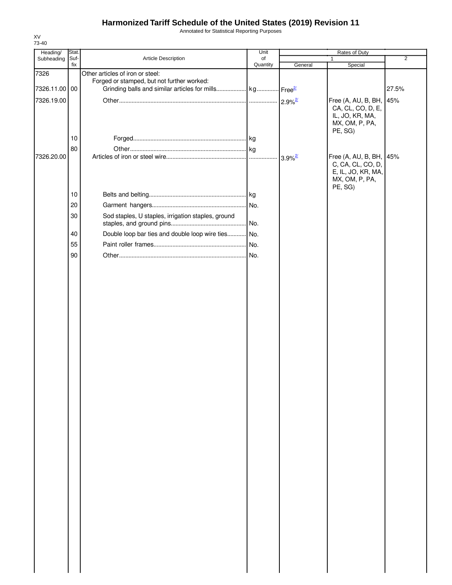Annotated for Statistical Reporting Purposes

| Heading/      | Stat.       |                                                                     | Unit           | Rates of Duty         |                         |                |
|---------------|-------------|---------------------------------------------------------------------|----------------|-----------------------|-------------------------|----------------|
| Subheading    | Suf-<br>fix | Article Description                                                 | of<br>Quantity | General               | 1<br>Special            | $\overline{2}$ |
| 7326          |             | Other articles of iron or steel:                                    |                |                       |                         |                |
|               |             | Forged or stamped, but not further worked:                          |                |                       |                         |                |
| 7326.11.00 00 |             | Grinding balls and similar articles for mills kg Free <sup>21</sup> |                |                       |                         | 27.5%          |
| 7326.19.00    |             |                                                                     |                |                       | Free (A, AU, B, BH, 45% |                |
|               |             |                                                                     |                |                       | CA, CL, CO, D, E,       |                |
|               |             |                                                                     |                |                       | IL, JO, KR, MA,         |                |
|               |             |                                                                     |                |                       | MX, OM, P, PA,          |                |
|               | 10          |                                                                     |                |                       | PE, SG)                 |                |
|               | 80          |                                                                     |                |                       |                         |                |
| 7326.20.00    |             |                                                                     |                | $3.9\%$ <sup>2/</sup> | Free (A, AU, B, BH, 45% |                |
|               |             |                                                                     |                |                       | C, CA, CL, CO, D,       |                |
|               |             |                                                                     |                |                       | E, IL, JO, KR, MA,      |                |
|               |             |                                                                     |                |                       | MX, OM, P, PA,          |                |
|               | 10          |                                                                     |                |                       | PE, SG)                 |                |
|               | 20          |                                                                     |                |                       |                         |                |
|               |             |                                                                     |                |                       |                         |                |
|               | 30          | Sod staples, U staples, irrigation staples, ground                  | No.            |                       |                         |                |
|               |             |                                                                     |                |                       |                         |                |
|               | 40          | Double loop bar ties and double loop wire ties No.                  |                |                       |                         |                |
|               | 55          |                                                                     |                |                       |                         |                |
|               | 90          |                                                                     |                |                       |                         |                |
|               |             |                                                                     |                |                       |                         |                |
|               |             |                                                                     |                |                       |                         |                |
|               |             |                                                                     |                |                       |                         |                |
|               |             |                                                                     |                |                       |                         |                |
|               |             |                                                                     |                |                       |                         |                |
|               |             |                                                                     |                |                       |                         |                |
|               |             |                                                                     |                |                       |                         |                |
|               |             |                                                                     |                |                       |                         |                |
|               |             |                                                                     |                |                       |                         |                |
|               |             |                                                                     |                |                       |                         |                |
|               |             |                                                                     |                |                       |                         |                |
|               |             |                                                                     |                |                       |                         |                |
|               |             |                                                                     |                |                       |                         |                |
|               |             |                                                                     |                |                       |                         |                |
|               |             |                                                                     |                |                       |                         |                |
|               |             |                                                                     |                |                       |                         |                |
|               |             |                                                                     |                |                       |                         |                |
|               |             |                                                                     |                |                       |                         |                |
|               |             |                                                                     |                |                       |                         |                |
|               |             |                                                                     |                |                       |                         |                |
|               |             |                                                                     |                |                       |                         |                |
|               |             |                                                                     |                |                       |                         |                |
|               |             |                                                                     |                |                       |                         |                |
|               |             |                                                                     |                |                       |                         |                |
|               |             |                                                                     |                |                       |                         |                |
|               |             |                                                                     |                |                       |                         |                |
|               |             |                                                                     |                |                       |                         |                |
|               |             |                                                                     |                |                       |                         |                |
|               |             |                                                                     |                |                       |                         |                |
|               |             |                                                                     |                |                       |                         |                |
|               |             |                                                                     |                |                       |                         |                |
|               |             |                                                                     |                |                       |                         |                |
|               |             |                                                                     |                |                       |                         |                |
|               |             |                                                                     |                |                       |                         |                |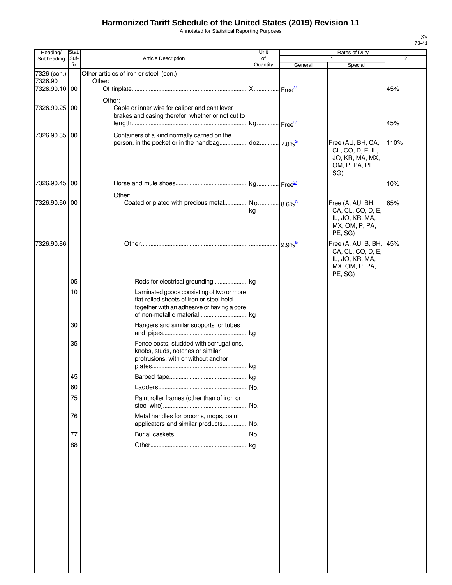Annotated for Statistical Reporting Purposes

| 1<br>Quantity<br>fix<br>General<br>Special<br>7326 (con.)<br>Other articles of iron or steel: (con.)<br>7326.90<br>Other:<br>7326.90.10 00<br>45%<br>Other:<br>7326.90.25 00<br>Cable or inner wire for caliper and cantilever<br>brakes and casing therefor, whether or not cut to<br>kg Free <sup>2/</sup><br>45%<br>Containers of a kind normally carried on the<br>7326.90.35 00<br>Free (AU, BH, CA,<br>110%<br>CL, CO, D, E, IL,<br>JO, KR, MA, MX,<br>OM, P, PA, PE,<br>SG)<br>7326.90.45 00<br>10%<br>Other:<br>7326.90.60 00<br>Coated or plated with precious metal No 8.6% <sup>2</sup><br>Free (A, AU, BH,<br>65%<br>CA, CL, CO, D, E,<br>kg<br>IL, JO, KR, MA,<br>MX, OM, P, PA,<br>PE, SG)<br>7326.90.86<br>Free (A, AU, B, BH,<br>45%<br>CA, CL, CO, D, E,<br>IL, JO, KR, MA,<br>MX, OM, P, PA,<br>PE, SG)<br>05<br>10<br>Laminated goods consisting of two or more<br>flat-rolled sheets of iron or steel held<br>together with an adhesive or having a core<br>30<br>Hangers and similar supports for tubes<br>. kg<br>35<br>Fence posts, studded with corrugations,<br>knobs, studs, notches or similar<br>protrusions, with or without anchor<br>45<br>60<br>No.<br>Paint roller frames (other than of iron or<br>75<br>. No.<br>Metal handles for brooms, mops, paint<br>76<br>applicators and similar products No.<br>77<br>88 | Heading/   | Stat. |                     | Unit | Rates of Duty |  |   |  |
|-----------------------------------------------------------------------------------------------------------------------------------------------------------------------------------------------------------------------------------------------------------------------------------------------------------------------------------------------------------------------------------------------------------------------------------------------------------------------------------------------------------------------------------------------------------------------------------------------------------------------------------------------------------------------------------------------------------------------------------------------------------------------------------------------------------------------------------------------------------------------------------------------------------------------------------------------------------------------------------------------------------------------------------------------------------------------------------------------------------------------------------------------------------------------------------------------------------------------------------------------------------------------------------------------------------------------------------------------------|------------|-------|---------------------|------|---------------|--|---|--|
|                                                                                                                                                                                                                                                                                                                                                                                                                                                                                                                                                                                                                                                                                                                                                                                                                                                                                                                                                                                                                                                                                                                                                                                                                                                                                                                                                     | Subheading | Suf-  | Article Description | of   |               |  | 2 |  |
|                                                                                                                                                                                                                                                                                                                                                                                                                                                                                                                                                                                                                                                                                                                                                                                                                                                                                                                                                                                                                                                                                                                                                                                                                                                                                                                                                     |            |       |                     |      |               |  |   |  |
|                                                                                                                                                                                                                                                                                                                                                                                                                                                                                                                                                                                                                                                                                                                                                                                                                                                                                                                                                                                                                                                                                                                                                                                                                                                                                                                                                     |            |       |                     |      |               |  |   |  |
|                                                                                                                                                                                                                                                                                                                                                                                                                                                                                                                                                                                                                                                                                                                                                                                                                                                                                                                                                                                                                                                                                                                                                                                                                                                                                                                                                     |            |       |                     |      |               |  |   |  |
|                                                                                                                                                                                                                                                                                                                                                                                                                                                                                                                                                                                                                                                                                                                                                                                                                                                                                                                                                                                                                                                                                                                                                                                                                                                                                                                                                     |            |       |                     |      |               |  |   |  |
|                                                                                                                                                                                                                                                                                                                                                                                                                                                                                                                                                                                                                                                                                                                                                                                                                                                                                                                                                                                                                                                                                                                                                                                                                                                                                                                                                     |            |       |                     |      |               |  |   |  |
|                                                                                                                                                                                                                                                                                                                                                                                                                                                                                                                                                                                                                                                                                                                                                                                                                                                                                                                                                                                                                                                                                                                                                                                                                                                                                                                                                     |            |       |                     |      |               |  |   |  |
|                                                                                                                                                                                                                                                                                                                                                                                                                                                                                                                                                                                                                                                                                                                                                                                                                                                                                                                                                                                                                                                                                                                                                                                                                                                                                                                                                     |            |       |                     |      |               |  |   |  |
|                                                                                                                                                                                                                                                                                                                                                                                                                                                                                                                                                                                                                                                                                                                                                                                                                                                                                                                                                                                                                                                                                                                                                                                                                                                                                                                                                     |            |       |                     |      |               |  |   |  |
|                                                                                                                                                                                                                                                                                                                                                                                                                                                                                                                                                                                                                                                                                                                                                                                                                                                                                                                                                                                                                                                                                                                                                                                                                                                                                                                                                     |            |       |                     |      |               |  |   |  |
|                                                                                                                                                                                                                                                                                                                                                                                                                                                                                                                                                                                                                                                                                                                                                                                                                                                                                                                                                                                                                                                                                                                                                                                                                                                                                                                                                     |            |       |                     |      |               |  |   |  |
|                                                                                                                                                                                                                                                                                                                                                                                                                                                                                                                                                                                                                                                                                                                                                                                                                                                                                                                                                                                                                                                                                                                                                                                                                                                                                                                                                     |            |       |                     |      |               |  |   |  |
|                                                                                                                                                                                                                                                                                                                                                                                                                                                                                                                                                                                                                                                                                                                                                                                                                                                                                                                                                                                                                                                                                                                                                                                                                                                                                                                                                     |            |       |                     |      |               |  |   |  |
|                                                                                                                                                                                                                                                                                                                                                                                                                                                                                                                                                                                                                                                                                                                                                                                                                                                                                                                                                                                                                                                                                                                                                                                                                                                                                                                                                     |            |       |                     |      |               |  |   |  |
|                                                                                                                                                                                                                                                                                                                                                                                                                                                                                                                                                                                                                                                                                                                                                                                                                                                                                                                                                                                                                                                                                                                                                                                                                                                                                                                                                     |            |       |                     |      |               |  |   |  |
|                                                                                                                                                                                                                                                                                                                                                                                                                                                                                                                                                                                                                                                                                                                                                                                                                                                                                                                                                                                                                                                                                                                                                                                                                                                                                                                                                     |            |       |                     |      |               |  |   |  |
|                                                                                                                                                                                                                                                                                                                                                                                                                                                                                                                                                                                                                                                                                                                                                                                                                                                                                                                                                                                                                                                                                                                                                                                                                                                                                                                                                     |            |       |                     |      |               |  |   |  |
|                                                                                                                                                                                                                                                                                                                                                                                                                                                                                                                                                                                                                                                                                                                                                                                                                                                                                                                                                                                                                                                                                                                                                                                                                                                                                                                                                     |            |       |                     |      |               |  |   |  |
|                                                                                                                                                                                                                                                                                                                                                                                                                                                                                                                                                                                                                                                                                                                                                                                                                                                                                                                                                                                                                                                                                                                                                                                                                                                                                                                                                     |            |       |                     |      |               |  |   |  |
|                                                                                                                                                                                                                                                                                                                                                                                                                                                                                                                                                                                                                                                                                                                                                                                                                                                                                                                                                                                                                                                                                                                                                                                                                                                                                                                                                     |            |       |                     |      |               |  |   |  |
|                                                                                                                                                                                                                                                                                                                                                                                                                                                                                                                                                                                                                                                                                                                                                                                                                                                                                                                                                                                                                                                                                                                                                                                                                                                                                                                                                     |            |       |                     |      |               |  |   |  |
|                                                                                                                                                                                                                                                                                                                                                                                                                                                                                                                                                                                                                                                                                                                                                                                                                                                                                                                                                                                                                                                                                                                                                                                                                                                                                                                                                     |            |       |                     |      |               |  |   |  |
|                                                                                                                                                                                                                                                                                                                                                                                                                                                                                                                                                                                                                                                                                                                                                                                                                                                                                                                                                                                                                                                                                                                                                                                                                                                                                                                                                     |            |       |                     |      |               |  |   |  |
|                                                                                                                                                                                                                                                                                                                                                                                                                                                                                                                                                                                                                                                                                                                                                                                                                                                                                                                                                                                                                                                                                                                                                                                                                                                                                                                                                     |            |       |                     |      |               |  |   |  |
|                                                                                                                                                                                                                                                                                                                                                                                                                                                                                                                                                                                                                                                                                                                                                                                                                                                                                                                                                                                                                                                                                                                                                                                                                                                                                                                                                     |            |       |                     |      |               |  |   |  |
|                                                                                                                                                                                                                                                                                                                                                                                                                                                                                                                                                                                                                                                                                                                                                                                                                                                                                                                                                                                                                                                                                                                                                                                                                                                                                                                                                     |            |       |                     |      |               |  |   |  |
|                                                                                                                                                                                                                                                                                                                                                                                                                                                                                                                                                                                                                                                                                                                                                                                                                                                                                                                                                                                                                                                                                                                                                                                                                                                                                                                                                     |            |       |                     |      |               |  |   |  |
|                                                                                                                                                                                                                                                                                                                                                                                                                                                                                                                                                                                                                                                                                                                                                                                                                                                                                                                                                                                                                                                                                                                                                                                                                                                                                                                                                     |            |       |                     |      |               |  |   |  |
|                                                                                                                                                                                                                                                                                                                                                                                                                                                                                                                                                                                                                                                                                                                                                                                                                                                                                                                                                                                                                                                                                                                                                                                                                                                                                                                                                     |            |       |                     |      |               |  |   |  |
|                                                                                                                                                                                                                                                                                                                                                                                                                                                                                                                                                                                                                                                                                                                                                                                                                                                                                                                                                                                                                                                                                                                                                                                                                                                                                                                                                     |            |       |                     |      |               |  |   |  |
|                                                                                                                                                                                                                                                                                                                                                                                                                                                                                                                                                                                                                                                                                                                                                                                                                                                                                                                                                                                                                                                                                                                                                                                                                                                                                                                                                     |            |       |                     |      |               |  |   |  |
|                                                                                                                                                                                                                                                                                                                                                                                                                                                                                                                                                                                                                                                                                                                                                                                                                                                                                                                                                                                                                                                                                                                                                                                                                                                                                                                                                     |            |       |                     |      |               |  |   |  |
|                                                                                                                                                                                                                                                                                                                                                                                                                                                                                                                                                                                                                                                                                                                                                                                                                                                                                                                                                                                                                                                                                                                                                                                                                                                                                                                                                     |            |       |                     |      |               |  |   |  |
|                                                                                                                                                                                                                                                                                                                                                                                                                                                                                                                                                                                                                                                                                                                                                                                                                                                                                                                                                                                                                                                                                                                                                                                                                                                                                                                                                     |            |       |                     |      |               |  |   |  |
|                                                                                                                                                                                                                                                                                                                                                                                                                                                                                                                                                                                                                                                                                                                                                                                                                                                                                                                                                                                                                                                                                                                                                                                                                                                                                                                                                     |            |       |                     |      |               |  |   |  |
|                                                                                                                                                                                                                                                                                                                                                                                                                                                                                                                                                                                                                                                                                                                                                                                                                                                                                                                                                                                                                                                                                                                                                                                                                                                                                                                                                     |            |       |                     |      |               |  |   |  |
|                                                                                                                                                                                                                                                                                                                                                                                                                                                                                                                                                                                                                                                                                                                                                                                                                                                                                                                                                                                                                                                                                                                                                                                                                                                                                                                                                     |            |       |                     |      |               |  |   |  |
|                                                                                                                                                                                                                                                                                                                                                                                                                                                                                                                                                                                                                                                                                                                                                                                                                                                                                                                                                                                                                                                                                                                                                                                                                                                                                                                                                     |            |       |                     |      |               |  |   |  |
|                                                                                                                                                                                                                                                                                                                                                                                                                                                                                                                                                                                                                                                                                                                                                                                                                                                                                                                                                                                                                                                                                                                                                                                                                                                                                                                                                     |            |       |                     |      |               |  |   |  |
|                                                                                                                                                                                                                                                                                                                                                                                                                                                                                                                                                                                                                                                                                                                                                                                                                                                                                                                                                                                                                                                                                                                                                                                                                                                                                                                                                     |            |       |                     |      |               |  |   |  |
|                                                                                                                                                                                                                                                                                                                                                                                                                                                                                                                                                                                                                                                                                                                                                                                                                                                                                                                                                                                                                                                                                                                                                                                                                                                                                                                                                     |            |       |                     |      |               |  |   |  |

 $\overline{\phantom{a}}$